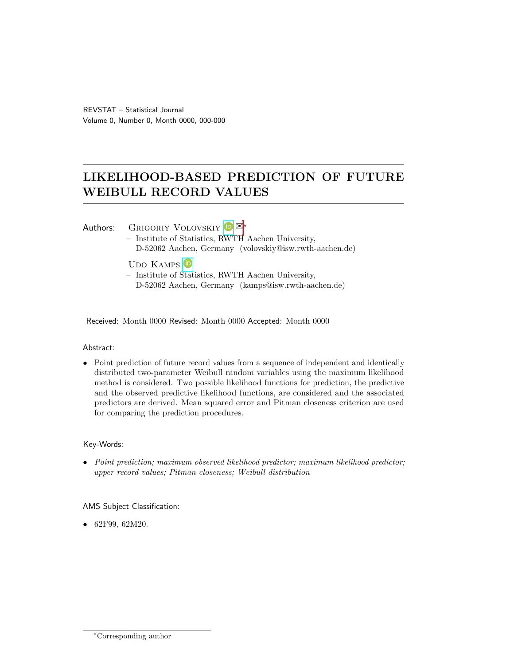# <span id="page-0-0"></span>LIKELIHOOD-BASED PREDICTION OF FUTURE WEIBULL RECORD VALUES

# Authors: GRIGORIY VOLOVSKIY D<sup>E\*</sup>

- Institute of Statistics, [RWT](https://orcid.org/0000-0002-0071-0702)H Aachen University, D-52062 Aachen, Germany (volovskiy@isw.rwth-aachen.de)
- UDO KAMPS<sup>(D</sup>
- Institute of [Stat](https://orcid.org/0000-0001-7739-2426)istics, RWTH Aachen University, D-52062 Aachen, Germany (kamps@isw.rwth-aachen.de)

Received: Month 0000 Revised: Month 0000 Accepted: Month 0000

## Abstract:

• Point prediction of future record values from a sequence of independent and identically distributed two-parameter Weibull random variables using the maximum likelihood method is considered. Two possible likelihood functions for prediction, the predictive and the observed predictive likelihood functions, are considered and the associated predictors are derived. Mean squared error and Pitman closeness criterion are used for comparing the prediction procedures.

## Key-Words:

• Point prediction; maximum observed likelihood predictor; maximum likelihood predictor; upper record values; Pitman closeness; Weibull distribution

## AMS Subject Classification:

• 62F99, 62M20.

<sup>∗</sup>Corresponding author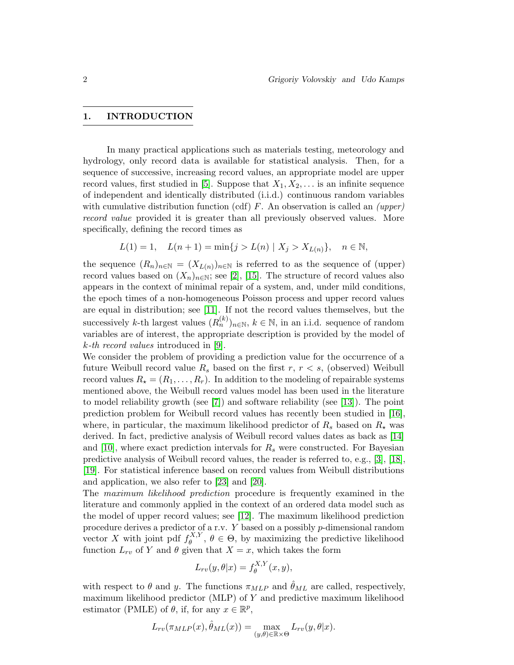#### 1. INTRODUCTION

In many practical applications such as materials testing, meteorology and hydrology, only record data is available for statistical analysis. Then, for a sequence of successive, increasing record values, an appropriate model are upper record values, first studied in [\[5\]](#page-22-0). Suppose that  $X_1, X_2, \ldots$  is an infinite sequence of independent and identically distributed (i.i.d.) continuous random variables with cumulative distribution function (cdf)  $F$ . An observation is called an *(upper)* record value provided it is greater than all previously observed values. More specifically, defining the record times as

$$
L(1) = 1, \quad L(n+1) = \min\{j > L(n) \mid X_j > X_{L(n)}\}, \quad n \in \mathbb{N},
$$

the sequence  $(R_n)_{n\in\mathbb{N}} = (X_{L(n)})_{n\in\mathbb{N}}$  is referred to as the sequence of (upper) record values based on  $(X_n)_{n\in\mathbb{N}}$ ; see [\[2\]](#page-22-1), [\[15\]](#page-23-0). The structure of record values also appears in the context of minimal repair of a system, and, under mild conditions, the epoch times of a non-homogeneous Poisson process and upper record values are equal in distribution; see [\[11\]](#page-22-2). If not the record values themselves, but the successively k-th largest values  $(R_n^{(k)})_{n\in\mathbb{N}}$ ,  $k\in\mathbb{N}$ , in an i.i.d. sequence of random variables are of interest, the appropriate description is provided by the model of k-th record values introduced in [\[9\]](#page-22-3).

We consider the problem of providing a prediction value for the occurrence of a future Weibull record value  $R_s$  based on the first  $r, r < s$ , (observed) Weibull record values  $R_{\star} = (R_1, \ldots, R_r)$ . In addition to the modeling of repairable systems mentioned above, the Weibull record values model has been used in the literature to model reliability growth (see [\[7\]](#page-22-4)) and software reliability (see [\[13\]](#page-22-5)). The point prediction problem for Weibull record values has recently been studied in [\[16\]](#page-23-1), where, in particular, the maximum likelihood predictor of  $R_s$  based on  $R_{\star}$  was derived. In fact, predictive analysis of Weibull record values dates as back as [\[14\]](#page-23-2) and [\[10\]](#page-22-6), where exact prediction intervals for  $R<sub>s</sub>$  were constructed. For Bayesian predictive analysis of Weibull record values, the reader is referred to, e.g., [\[3\]](#page-22-7), [\[18\]](#page-23-3), [\[19\]](#page-23-4). For statistical inference based on record values from Weibull distributions and application, we also refer to [\[23\]](#page-23-5) and [\[20\]](#page-23-6).

The maximum likelihood prediction procedure is frequently examined in the literature and commonly applied in the context of an ordered data model such as the model of upper record values; see [\[12\]](#page-22-8). The maximum likelihood prediction procedure derives a predictor of a r.v.  $Y$  based on a possibly  $p$ -dimensional random vector X with joint pdf  $f_A^{X,Y}$  $\theta_{\theta}^{A,Y}$ ,  $\theta \in \Theta$ , by maximizing the predictive likelihood function  $L_{rv}$  of Y and  $\theta$  given that  $X = x$ , which takes the form

$$
L_{rv}(y,\theta|x) = f_{\theta}^{X,Y}(x,y),
$$

with respect to  $\theta$  and y. The functions  $\pi_{MLP}$  and  $\hat{\theta}_{ML}$  are called, respectively, maximum likelihood predictor  $(MLP)$  of Y and predictive maximum likelihood estimator (PMLE) of  $\theta$ , if, for any  $x \in \mathbb{R}^p$ ,

$$
L_{rv}(\pi_{MLP}(x), \hat{\theta}_{ML}(x)) = \max_{(y,\theta)\in \mathbb{R}\times\Theta} L_{rv}(y,\theta|x).
$$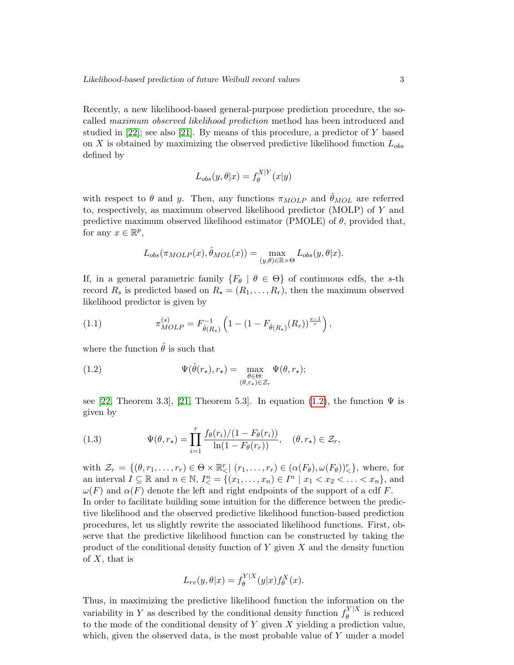Recently, a new likelihood-based general-purpose prediction procedure, the socalled maximum observed likelihood prediction method has been introduced and studied in  $[22]$ ; see also  $[21]$ . By means of this procedure, a predictor of Y based on X is obtained by maximizing the observed predictive likelihood function  $L_{obs}$ defined by

$$
L_{obs}(y, \theta | x) = f_{\theta}^{X|Y}(x|y)
$$

with respect to  $\theta$  and y. Then, any functions  $\pi_{MOLP}$  and  $\hat{\theta}_{MOL}$  are referred to, respectively, as maximum observed likelihood predictor (MOLP) of  $Y$  and predictive maximum observed likelihood estimator (PMOLE) of  $\theta$ , provided that, for any  $x \in \mathbb{R}^p$ ,

$$
L_{obs}(\pi_{MOLP}(x), \hat{\theta}_{MOL}(x)) = \max_{(y,\theta) \in \mathbb{R} \times \Theta} L_{obs}(y,\theta|x).
$$

If, in a general parametric family  $\{F_{\theta} \mid \theta \in \Theta\}$  of continuous cdfs, the s-th record  $R_s$  is predicted based on  $R_{\star} = (R_1, \ldots, R_r)$ , then the maximum observed likelihood predictor is given by

<span id="page-2-1"></span>(1.1) 
$$
\pi_{MOLP}^{(s)} = F_{\hat{\theta}(R_{\star})}^{-1} \left( 1 - (1 - F_{\hat{\theta}(R_{\star})}(R_r))^{\frac{s-1}{r}} \right),
$$

where the function  $\hat{\theta}$  is such that

<span id="page-2-0"></span>(1.2) 
$$
\Psi(\hat{\theta}(r_{\star}), r_{\star}) = \max_{\substack{\theta \in \Theta:\\(\theta, r_{\star}) \in \mathcal{Z}_r}} \Psi(\theta, r_{\star});
$$

see [\[22,](#page-23-7) Theorem 3.3], [\[21,](#page-23-8) Theorem 5.3]. In equation [\(1.2\)](#page-2-0), the function  $\Psi$  is given by

(1.3) 
$$
\Psi(\theta, r_{\star}) = \prod_{i=1}^{r} \frac{f_{\theta}(r_i)/(1 - F_{\theta}(r_i))}{\ln(1 - F_{\theta}(r_r))}, \quad (\theta, r_{\star}) \in \mathcal{Z}_r,
$$

with  $\mathcal{Z}_r = \{(\theta, r_1, \ldots, r_r) \in \Theta \times \mathbb{R}^r < \mid (r_1, \ldots, r_r) \in (\alpha(F_\theta), \omega(F_\theta))^r < \},\$  where, for an interval  $I \subseteq \mathbb{R}$  and  $n \in \mathbb{N}$ ,  $I_{\leq}^{n} = \{(x_1, \ldots, x_n) \in I^n \mid x_1 < x_2 < \ldots < x_n\}$ , and  $\omega(F)$  and  $\alpha(F)$  denote the left and right endpoints of the support of a cdf F. In order to facilitate building some intuition for the difference between the predictive likelihood and the observed predictive likelihood function-based prediction procedures, let us slightly rewrite the associated likelihood functions. First, observe that the predictive likelihood function can be constructed by taking the product of the conditional density function of  $Y$  given  $X$  and the density function of  $X$ , that is

$$
L_{rv}(y,\theta|x) = f_{\theta}^{Y|X}(y|x) f_{\theta}^{X}(x).
$$

Thus, in maximizing the predictive likelihood function the information on the variability in Y as described by the conditional density function  $f_A^{Y|X}$  $\int_{\theta}^{\infty}$  is reduced to the mode of the conditional density of  $Y$  given  $X$  yielding a prediction value, which, given the observed data, is the most probable value of Y under a model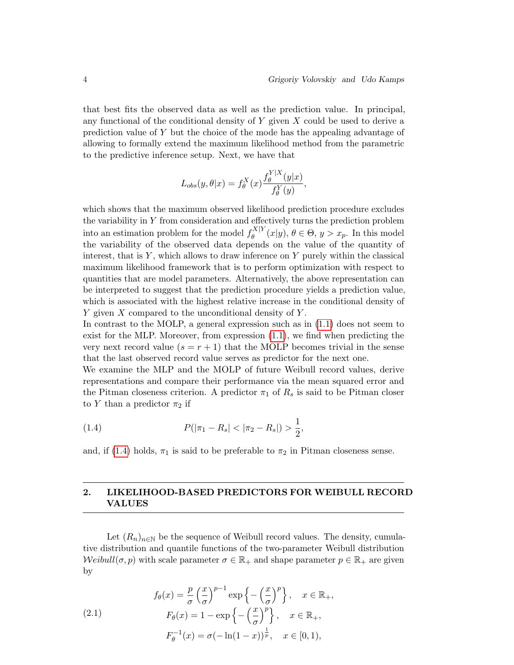that best fits the observed data as well as the prediction value. In principal, any functional of the conditional density of  $Y$  given  $X$  could be used to derive a prediction value of Y but the choice of the mode has the appealing advantage of allowing to formally extend the maximum likelihood method from the parametric to the predictive inference setup. Next, we have that

$$
L_{obs}(y,\theta|x) = f_{\theta}^{X}(x) \frac{f_{\theta}^{Y|X}(y|x)}{f_{\theta}^{Y}(y)},
$$

which shows that the maximum observed likelihood prediction procedure excludes the variability in Y from consideration and effectively turns the prediction problem into an estimation problem for the model  $f_A^{X|Y}$  $\theta^{\mathbf{A}|\mathbf{Y}}(\mathbf{x}|\mathbf{y}), \theta \in \Theta, \mathbf{y} > x_p$ . In this model the variability of the observed data depends on the value of the quantity of interest, that is  $Y$ , which allows to draw inference on  $Y$  purely within the classical maximum likelihood framework that is to perform optimization with respect to quantities that are model parameters. Alternatively, the above representation can be interpreted to suggest that the prediction procedure yields a prediction value, which is associated with the highest relative increase in the conditional density of  $Y$  given  $X$  compared to the unconditional density of  $Y$ .

In contrast to the MOLP, a general expression such as in [\(1.1\)](#page-2-1) does not seem to exist for the MLP. Moreover, from expression [\(1.1\)](#page-2-1), we find when predicting the very next record value  $(s = r + 1)$  that the MOLP becomes trivial in the sense that the last observed record value serves as predictor for the next one.

We examine the MLP and the MOLP of future Weibull record values, derive representations and compare their performance via the mean squared error and the Pitman closeness criterion. A predictor  $\pi_1$  of  $R_s$  is said to be Pitman closer to Y than a predictor  $\pi_2$  if

<span id="page-3-0"></span>(1.4) 
$$
P(|\pi_1 - R_s| < |\pi_2 - R_s|) > \frac{1}{2},
$$

and, if [\(1.4\)](#page-3-0) holds,  $\pi_1$  is said to be preferable to  $\pi_2$  in Pitman closeness sense.

## 2. LIKELIHOOD-BASED PREDICTORS FOR WEIBULL RECORD VALUES

Let  $(R_n)_{n\in\mathbb{N}}$  be the sequence of Weibull record values. The density, cumulative distribution and quantile functions of the two-parameter Weibull distribution  $Weight(\sigma, p)$  with scale parameter  $\sigma \in \mathbb{R}_+$  and shape parameter  $p \in \mathbb{R}_+$  are given by

<span id="page-3-1"></span>(2.1)  
\n
$$
f_{\theta}(x) = \frac{p}{\sigma} \left(\frac{x}{\sigma}\right)^{p-1} \exp\left\{-\left(\frac{x}{\sigma}\right)^p\right\}, \quad x \in \mathbb{R}_+,
$$
\n
$$
F_{\theta}(x) = 1 - \exp\left\{-\left(\frac{x}{\sigma}\right)^p\right\}, \quad x \in \mathbb{R}_+,
$$
\n
$$
F_{\theta}^{-1}(x) = \sigma(-\ln(1-x))^{\frac{1}{p}}, \quad x \in [0, 1),
$$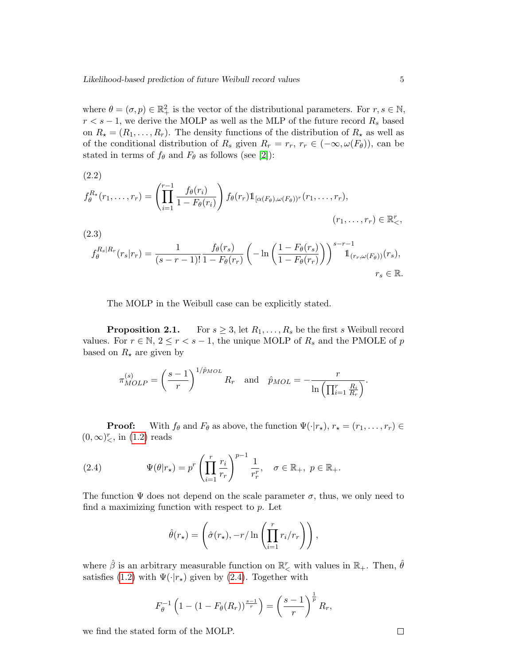where  $\theta = (\sigma, p) \in \mathbb{R}^2_+$  is the vector of the distributional parameters. For  $r, s \in \mathbb{N}$ ,  $r < s - 1$ , we derive the MOLP as well as the MLP of the future record  $R_s$  based on  $R_{\star} = (R_1, \ldots, R_r)$ . The density functions of the distribution of  $R_{\star}$  as well as of the conditional distribution of  $R_s$  given  $R_r = r_r$ ,  $r_r \in (-\infty, \omega(F_\theta))$ , can be stated in terms of  $f_{\theta}$  and  $F_{\theta}$  as follows (see [\[2\]](#page-22-1)):

(2.2)  
\n
$$
f_{\theta}^{R_{\star}}(r_1, \ldots, r_r) = \left(\prod_{i=1}^{r-1} \frac{f_{\theta}(r_i)}{1 - F_{\theta}(r_i)}\right) f_{\theta}(r_r) \mathbb{1}_{[\alpha(F_{\theta}), \omega(F_{\theta})]^r}(r_1, \ldots, r_r),
$$
\n(2.3)  
\n
$$
F_{\theta}(r_{\theta}) = \prod_{i=1}^{r} f_{\theta}(r_i) \quad (1 - F_{\theta}(r_i)) \leq r^{r-1}
$$

$$
f_{\theta}^{R_s|R_r}(r_s|r_r) = \frac{1}{(s-r-1)!} \frac{f_{\theta}(r_s)}{1 - F_{\theta}(r_r)} \left( -\ln\left(\frac{1 - F_{\theta}(r_s)}{1 - F_{\theta}(r_r)}\right) \right)^{s-r-1} \mathbb{1}_{(r_r,\omega(F_{\theta}))}(r_s),
$$
  

$$
r_s \in \mathbb{R}.
$$

The MOLP in the Weibull case can be explicitly stated.

**Proposition 2.1.** For  $s \geq 3$ , let  $R_1, \ldots, R_s$  be the first s Weibull record values. For  $r \in \mathbb{N}$ ,  $2 \le r < s - 1$ , the unique MOLP of  $R_s$  and the PMOLE of p based on  $R_{\star}$  are given by

$$
\pi_{MOLP}^{(s)} = \left(\frac{s-1}{r}\right)^{1/\hat{p}_{MOL}} R_r \quad \text{and} \quad \hat{p}_{MOL} = -\frac{r}{\ln\left(\prod_{i=1}^r \frac{R_i}{R_r}\right)}.
$$

**Proof:** With  $f_{\theta}$  and  $F_{\theta}$  as above, the function  $\Psi(\cdot|r_{\star}), r_{\star} = (r_1, \ldots, r_r) \in$  $(0, \infty)_{\lt}^r$ , in  $(1.2)$  reads

<span id="page-4-0"></span>(2.4) 
$$
\Psi(\theta|r_{\star}) = p^r \left(\prod_{i=1}^r \frac{r_i}{r_r}\right)^{p-1} \frac{1}{r_r^r}, \quad \sigma \in \mathbb{R}_+, \ p \in \mathbb{R}_+.
$$

The function  $\Psi$  does not depend on the scale parameter  $\sigma$ , thus, we only need to find a maximizing function with respect to  $p$ . Let

$$
\hat{\theta}(r_{\star}) = \left(\hat{\sigma}(r_{\star}), -r/\ln\left(\prod_{i=1}^{r} r_i/r_r\right)\right),\,
$$

where  $\hat{\beta}$  is an arbitrary measurable function on  $\mathbb{R}^r_<$  with values in  $\mathbb{R}_+$ . Then,  $\hat{\theta}$ satisfies [\(1.2\)](#page-2-0) with  $\Psi(\cdot|r_{\star})$  given by [\(2.4\)](#page-4-0). Together with

$$
F_{\theta}^{-1} \left( 1 - (1 - F_{\theta}(R_r))^{\frac{s-1}{r}} \right) = \left( \frac{s-1}{r} \right)^{\frac{1}{p}} R_r,
$$

we find the stated form of the MOLP.

 $\Box$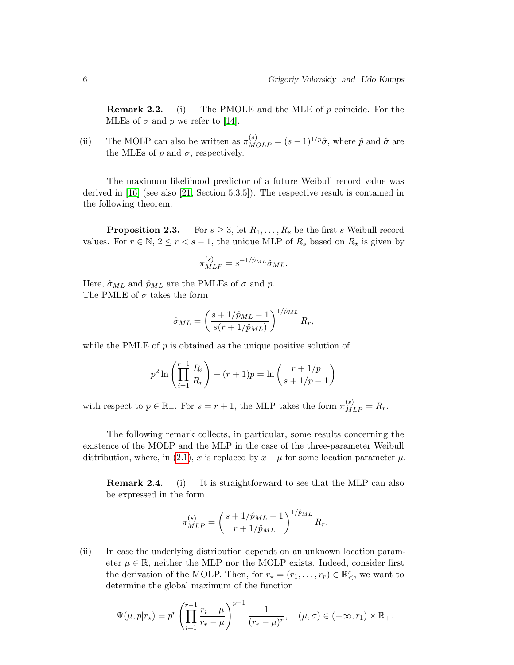**Remark 2.2.** (i) The PMOLE and the MLE of  $p$  coincide. For the MLEs of  $\sigma$  and  $p$  we refer to [\[14\]](#page-23-2).

(ii) The MOLP can also be written as  $\pi_{MOLP}^{(s)} = (s-1)^{1/\hat{p}}\hat{\sigma}$ , where  $\hat{p}$  and  $\hat{\sigma}$  are the MLEs of  $p$  and  $\sigma$ , respectively.

The maximum likelihood predictor of a future Weibull record value was derived in [\[16\]](#page-23-1) (see also [\[21,](#page-23-8) Section 5.3.5]). The respective result is contained in the following theorem.

**Proposition 2.3.** For  $s \geq 3$ , let  $R_1, \ldots, R_s$  be the first s Weibull record values. For  $r \in \mathbb{N}, 2 \le r < s - 1$ , the unique MLP of  $R_s$  based on  $R_{\star}$  is given by

$$
\pi_{MLP}^{(s)} = s^{-1/\hat{p}_{ML}} \hat{\sigma}_{ML}.
$$

Here,  $\hat{\sigma}_{ML}$  and  $\hat{p}_{ML}$  are the PMLEs of  $\sigma$  and  $p$ . The PMLE of  $\sigma$  takes the form

$$
\hat{\sigma}_{ML} = \left(\frac{s + 1/\hat{p}_{ML} - 1}{s(r + 1/\hat{p}_{ML})}\right)^{1/\hat{p}_{ML}} R_r,
$$

while the PMLE of  $p$  is obtained as the unique positive solution of

$$
p^{2} \ln \left( \prod_{i=1}^{r-1} \frac{R_{i}}{R_{r}} \right) + (r+1)p = \ln \left( \frac{r+1/p}{s+1/p-1} \right)
$$

with respect to  $p \in \mathbb{R}_+$ . For  $s = r + 1$ , the MLP takes the form  $\pi_{MLP}^{(s)} = R_r$ .

The following remark collects, in particular, some results concerning the existence of the MOLP and the MLP in the case of the three-parameter Weibull distribution, where, in [\(2.1\)](#page-3-1), x is replaced by  $x - \mu$  for some location parameter  $\mu$ .

**Remark 2.4.** (i) It is straightforward to see that the MLP can also be expressed in the form

$$
\pi_{MLP}^{(s)} = \left(\frac{s + 1/\hat{p}_{ML} - 1}{r + 1/\hat{p}_{ML}}\right)^{1/\hat{p}_{ML}} R_r.
$$

(ii) In case the underlying distribution depends on an unknown location parameter  $\mu \in \mathbb{R}$ , neither the MLP nor the MOLP exists. Indeed, consider first the derivation of the MOLP. Then, for  $r_{\star} = (r_1, \ldots, r_r) \in \mathbb{R}^r_<$ , we want to determine the global maximum of the function

$$
\Psi(\mu, p|r_{\star}) = p^r \left( \prod_{i=1}^{r-1} \frac{r_i - \mu}{r_r - \mu} \right)^{p-1} \frac{1}{(r_r - \mu)^r}, \quad (\mu, \sigma) \in (-\infty, r_1) \times \mathbb{R}_+.
$$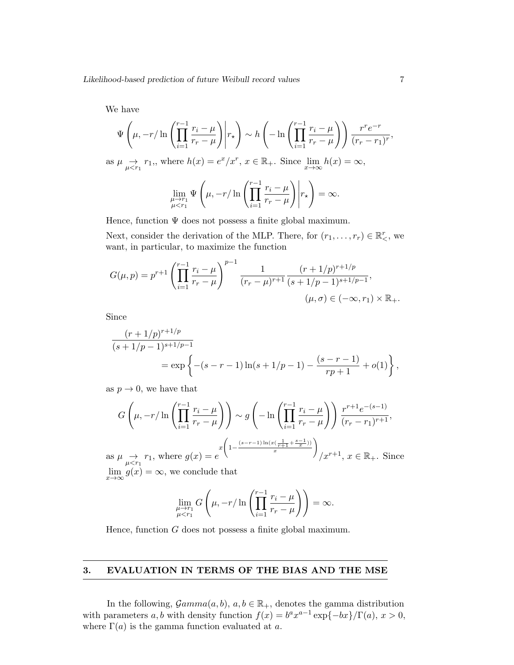We have

$$
\Psi\left(\mu, -r/\ln\left(\prod_{i=1}^{r-1}\frac{r_i-\mu}{r_r-\mu}\right)\middle| r_\star\right) \sim h\left(-\ln\left(\prod_{i=1}^{r-1}\frac{r_i-\mu}{r_r-\mu}\right)\right) \frac{r^r e^{-r}}{(r_r-r_1)^r},
$$
as  $\mu \to r_1$ , where  $h(x) = e^x/x^r$ ,  $x \in \mathbb{R}_+$ . Since  $\lim_{x\to\infty} h(x) = \infty$ ,  

$$
\lim_{\substack{\mu \to r_1 \\ \mu < r_1}} \Psi\left(\mu, -r/\ln\left(\prod_{i=1}^{r-1}\frac{r_i-\mu}{r_r-\mu}\right)\middle| r_\star\right) = \infty.
$$

Hence, function  $\Psi$  does not possess a finite global maximum.

Next, consider the derivation of the MLP. There, for  $(r_1, \ldots, r_r) \in \mathbb{R}^r_<$ , we want, in particular, to maximize the function

$$
G(\mu, p) = p^{r+1} \left( \prod_{i=1}^{r-1} \frac{r_i - \mu}{r_r - \mu} \right)^{p-1} \frac{1}{(r_r - \mu)^{r+1}} \frac{(r+1/p)^{r+1/p}}{(s+1/p-1)^{s+1/p-1}},
$$
  

$$
(\mu, \sigma) \in (-\infty, r_1) \times \mathbb{R}_+.
$$

Since

$$
\frac{(r+1/p)^{r+1/p}}{(s+1/p-1)^{s+1/p-1}}
$$
  
=  $\exp \left\{ -(s-r-1) \ln(s+1/p-1) - \frac{(s-r-1)}{rp+1} + o(1) \right\},$ 

as  $p \to 0$ , we have that

$$
G\left(\mu, -r/\ln\left(\prod_{i=1}^{r-1}\frac{r_i-\mu}{r_r-\mu}\right)\right) \sim g\left(-\ln\left(\prod_{i=1}^{r-1}\frac{r_i-\mu}{r_r-\mu}\right)\right) \frac{r^{r+1}e^{-(s-1)}}{(r_r-r_1)^{r+1}},
$$
  
as  $\mu \to r_1$ , where  $g(x) = e^{x\left(1-\frac{(s-r-1)\ln(x(\frac{1}{r+1}+\frac{s-1}{x}))}{x}\right)}/x^{r+1}, x \in \mathbb{R}_+$ . Since  
 $\lim_{n \to \infty} g(x) = \infty$ , we conclude that

 $\lim_{x \to \infty} g(x) = \infty$ , we conclude that

$$
\lim_{\mu \to r_1 \atop \mu < r_1} G\left(\mu, -r/\ln\left(\prod_{i=1}^{r-1} \frac{r_i - \mu}{r_r - \mu}\right)\right) = \infty.
$$

Hence, function G does not possess a finite global maximum.

#### 3. EVALUATION IN TERMS OF THE BIAS AND THE MSE

In the following,  $\mathcal{G}amma(a, b), a, b \in \mathbb{R}_+$ , denotes the gamma distribution with parameters a, b with density function  $f(x) = b^a x^{a-1} \exp\{-bx\} / \Gamma(a), x > 0$ , where  $\Gamma(a)$  is the gamma function evaluated at a.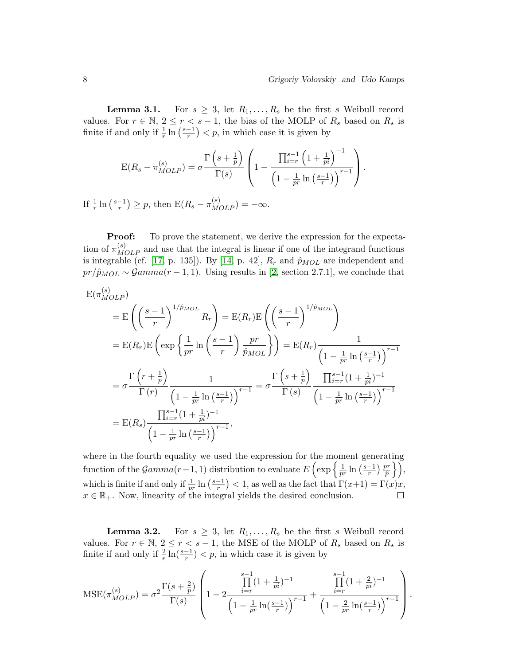**Lemma 3.1.** For  $s \geq 3$ , let  $R_1, \ldots, R_s$  be the first s Weibull record values. For  $r \in \mathbb{N}$ ,  $2 \le r < s - 1$ , the bias of the MOLP of  $R_s$  based on  $R_{\star}$  is finite if and only if  $\frac{1}{r} \ln \left( \frac{s-1}{r} \right)$  $\frac{-1}{r}$   $\big)$   $\lt p$ , in which case it is given by

$$
E(R_s - \pi_{MOLP}^{(s)}) = \sigma \frac{\Gamma\left(s + \frac{1}{p}\right)}{\Gamma(s)} \left(1 - \frac{\prod_{i=r}^{s-1} \left(1 + \frac{1}{pi}\right)^{-1}}{\left(1 - \frac{1}{pr} \ln\left(\frac{s-1}{r}\right)\right)^{r-1}}\right).
$$

If  $\frac{1}{r} \ln \left( \frac{s-1}{r} \right)$  $\frac{(-1)}{r}$   $\geq p$ , then  $E(R_s - \pi_{MOLP}^{(s)}) = -\infty$ .

**Proof:** To prove the statement, we derive the expression for the expectation of  $\pi_{MOLP}^{(s)}$  and use that the integral is linear if one of the integrand functions is integrable (cf. [\[17,](#page-23-9) p. 135]). By [\[14,](#page-23-2) p. 42],  $R_r$  and  $\hat{p}_{MOL}$  are independent and  $pr/\hat{p}_{MOL} \sim \mathcal{G}amma(r-1,1)$ . Using results in [\[2,](#page-22-1) section 2.7.1], we conclude that

$$
E(\pi_{MOLP}^{(s)})
$$
  
\n
$$
= E\left(\left(\frac{s-1}{r}\right)^{1/\hat{p}_{MOL}} R_r\right) = E(R_r)E\left(\left(\frac{s-1}{r}\right)^{1/\hat{p}_{MOL}}\right)
$$
  
\n
$$
= E(R_r)E\left(\exp\left\{\frac{1}{pr}\ln\left(\frac{s-1}{r}\right)\frac{pr}{\hat{p}_{MOL}}\right\}\right) = E(R_r)\frac{1}{\left(1 - \frac{1}{pr}\ln\left(\frac{s-1}{r}\right)\right)^{r-1}}
$$
  
\n
$$
= \sigma\frac{\Gamma\left(r + \frac{1}{p}\right)}{\Gamma\left(r\right)}\frac{1}{\left(1 - \frac{1}{pr}\ln\left(\frac{s-1}{r}\right)\right)^{r-1}} = \sigma\frac{\Gamma\left(s + \frac{1}{p}\right)}{\Gamma\left(s\right)}\frac{\prod_{i=r}^{s-1}(1 + \frac{1}{pi})^{-1}}{\left(1 - \frac{1}{pr}\ln\left(\frac{s-1}{r}\right)\right)^{r-1}}
$$
  
\n
$$
= E(R_s)\frac{\prod_{i=r}^{s-1}(1 + \frac{1}{pi})^{-1}}{\left(1 - \frac{1}{pr}\ln\left(\frac{s-1}{r}\right)\right)^{r-1}},
$$

where in the fourth equality we used the expression for the moment generating function of the  $\mathcal{G}amma(r-1,1)$  distribution to evaluate  $E\left(\exp\left\{\frac{1}{m}\right\}\right)$  $\left.\frac{\partial r}{\partial t}\right.\}$  $\frac{-1}{r}$ )  $\frac{pr}{\hat{p}}$  $\frac{1}{pr}\ln\left(\frac{s-1}{r}\right)$ which is finite if and only if  $\frac{1}{pr}$  ln  $\left(\frac{s-1}{r}\right)$  $\frac{-1}{r}$   $\Big)$  < 1, as well as the fact that  $\Gamma(x+1) = \Gamma(x)x$ ,  $x \in \mathbb{R}_+$ . Now, linearity of the integral yields the desired conclusion.  $\Box$ 

**Lemma 3.2.** For  $s \geq 3$ , let  $R_1, \ldots, R_s$  be the first s Weibull record values. For  $r \in \mathbb{N}$ ,  $2 \le r < s - 1$ , the MSE of the MOLP of  $R_s$  based on  $R_{\star}$  is finite if and only if  $\frac{2}{r} \ln(\frac{s-1}{r}) < p$ , in which case it is given by

$$
\text{MSE}(\pi_{MOLP}^{(s)}) = \sigma^2 \frac{\Gamma(s+\frac{2}{p})}{\Gamma(s)} \left( 1 - 2 \frac{\prod_{i=r}^{s-1} (1+\frac{1}{pi})^{-1}}{\left( 1 - \frac{1}{pr} \ln(\frac{s-1}{r}) \right)^{r-1}} + \frac{\prod_{i=r}^{s-1} (1+\frac{2}{pi})^{-1}}{\left( 1 - \frac{2}{pr} \ln(\frac{s-1}{r}) \right)^{r-1}} \right).
$$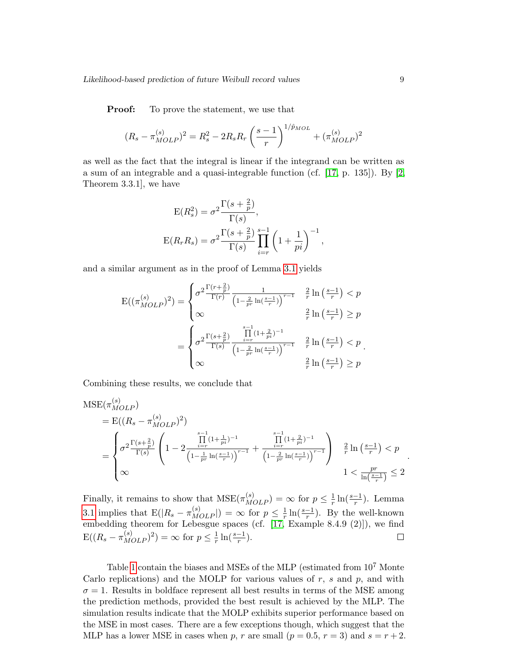**Proof:** To prove the statement, we use that

$$
(R_s - \pi_{MOLP}^{(s)})^2 = R_s^2 - 2R_s R_r \left(\frac{s-1}{r}\right)^{1/\hat{p}_{MOL}} + (\pi_{MOLP}^{(s)})^2
$$

as well as the fact that the integral is linear if the integrand can be written as a sum of an integrable and a quasi-integrable function (cf.  $[17, p. 135]$ ). By  $[2,$ Theorem 3.3.1], we have

$$
E(R_s^2) = \sigma^2 \frac{\Gamma(s + \frac{2}{p})}{\Gamma(s)},
$$
  
\n
$$
E(R_r R_s) = \sigma^2 \frac{\Gamma(s + \frac{2}{p})}{\Gamma(s)} \prod_{i=r}^{s-1} \left(1 + \frac{1}{pi}\right)^{-1},
$$

and a similar argument as in the proof of Lemma [3.1](#page-0-0) yields

$$
E((\pi_{MOLP}^{(s)})^2) = \begin{cases} \sigma^2 \frac{\Gamma(r+\frac{2}{p})}{\Gamma(r)} \frac{1}{\left(1-\frac{2}{pr}\ln\left(\frac{s-1}{r}\right)\right)^{r-1}} & \frac{2}{r} \ln\left(\frac{s-1}{r}\right) < p \\ \infty & \frac{2}{r} \ln\left(\frac{s-1}{r}\right) \ge p \\ \sigma^2 \frac{\Gamma(s+\frac{2}{p})}{\Gamma(s)} & \frac{\prod_{i=r}^{s-1} (1+\frac{2}{pi})^{-1}}{\left(1-\frac{2}{pr}\ln\left(\frac{s-1}{r}\right)\right)^{r-1}} & \frac{2}{r} \ln\left(\frac{s-1}{r}\right) < p \\ \infty & \frac{2}{r} \ln\left(\frac{s-1}{r}\right) \ge p \end{cases}
$$

Combining these results, we conclude that

$$
MSE(\pi_{MOLP}^{(s)})
$$
\n
$$
= E((R_s - \pi_{MOLP}^{(s)})^2)
$$
\n
$$
= \begin{cases}\n\sigma^2 \frac{\Gamma(s + \frac{2}{p})}{\Gamma(s)} \left(1 - 2 \frac{\prod_{i=r}^{s-1} (1 + \frac{1}{pi})^{-1}}{\left(1 - \frac{1}{pr} \ln\left(\frac{s-1}{r}\right)\right)^{r-1}} + \frac{\prod_{i=r}^{s-1} (1 + \frac{2}{pi})^{-1}}{\left(1 - \frac{2}{pr} \ln\left(\frac{s-1}{r}\right)\right)^{r-1}}\right) & \frac{2}{r} \ln\left(\frac{s-1}{r}\right) < p \\
\infty & 1 < \frac{pr}{\ln\left(\frac{s-1}{r}\right)} \le 2\n\end{cases}
$$

Finally, it remains to show that  $MSE(\pi_{MOLP}^{(s)}) = \infty$  for  $p \leq \frac{1}{r}$  $\frac{1}{r}\ln(\frac{s-1}{r})$  $\frac{-1}{r}$ ). Lemma [3.1](#page-0-0) implies that  $E(|R_s - \pi_{MOLP}^{(s)}|) = \infty$  for  $p \leq \frac{1}{r}$  $\frac{1}{r}\ln(\frac{s-1}{r})$  $\frac{-1}{r}$ ). By the well-known embedding theorem for Lebesgue spaces (cf. [\[17,](#page-23-9) Example 8.4.9 (2)]), we find  $E((R_s - \pi_{MOLP}^{(s)})^2) = \infty$  for  $p \leq \frac{1}{r}$  $\frac{1}{r}\ln(\frac{s-1}{r}).$  $\Box$ 

Table [1](#page-10-0) contain the biases and MSEs of the MLP (estimated from 10<sup>7</sup> Monte Carlo replications) and the MOLP for various values of  $r$ ,  $s$  and  $p$ , and with  $\sigma = 1$ . Results in boldface represent all best results in terms of the MSE among the prediction methods, provided the best result is achieved by the MLP. The simulation results indicate that the MOLP exhibits superior performance based on the MSE in most cases. There are a few exceptions though, which suggest that the MLP has a lower MSE in cases when p, r are small  $(p = 0.5, r = 3)$  and  $s = r + 2$ .

.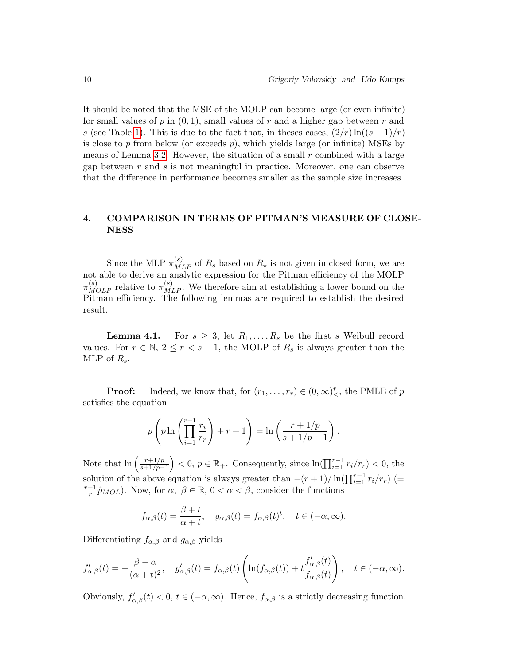It should be noted that the MSE of the MOLP can become large (or even infinite) for small values of p in  $(0, 1)$ , small values of r and a higher gap between r and s (see Table [1\)](#page-10-0). This is due to the fact that, in theses cases,  $(2/r)\ln((s-1)/r)$ is close to p from below (or exceeds  $p$ ), which yields large (or infinite) MSEs by means of Lemma [3.2.](#page-0-0) However, the situation of a small r combined with a large gap between r and s is not meaningful in practice. Moreover, one can observe that the difference in performance becomes smaller as the sample size increases.

## 4. COMPARISON IN TERMS OF PITMAN'S MEASURE OF CLOSE-NESS

Since the MLP  $\pi_{MLP}^{(s)}$  of  $R_s$  based on  $R_{\star}$  is not given in closed form, we are not able to derive an analytic expression for the Pitman efficiency of the MOLP  $\pi_{MOLP}^{(s)}$  relative to  $\pi_{MLP}^{(s)}$ . We therefore aim at establishing a lower bound on the Pitman efficiency. The following lemmas are required to establish the desired result.

**Lemma 4.1.** For  $s \geq 3$ , let  $R_1, \ldots, R_s$  be the first s Weibull record values. For  $r \in \mathbb{N}, 2 \leq r < s-1$ , the MOLP of  $R_s$  is always greater than the MLP of  $R_s$ .

**Proof:** Indeed, we know that, for  $(r_1, \ldots, r_r) \in (0, \infty)^r_<$ , the PMLE of p satisfies the equation

$$
p\left(p\ln\left(\prod_{i=1}^{r-1}\frac{r_i}{r_r}\right) + r + 1\right) = \ln\left(\frac{r+1/p}{s+1/p-1}\right).
$$

Note that  $\ln \left( \frac{r+1/p}{r+1/p} \right)$  $\left(\frac{r+1/p}{s+1/p-1}\right)$  < 0,  $p \in \mathbb{R}_+$ . Consequently, since  $\ln\left(\prod_{i=1}^{r-1} r_i/r_r\right)$  < 0, the solution of the above equation is always greater than  $-(r+1)/\ln(\prod_{i=1}^{r-1}r_i/r_r)$  (=  $r+1$  $\frac{+1}{r}\hat{p}_{MOL}$ ). Now, for  $\alpha, \beta \in \mathbb{R}, 0 < \alpha < \beta$ , consider the functions

$$
f_{\alpha,\beta}(t) = \frac{\beta+t}{\alpha+t}, \quad g_{\alpha,\beta}(t) = f_{\alpha,\beta}(t)^t, \quad t \in (-\alpha,\infty).
$$

Differentiating  $f_{\alpha,\beta}$  and  $g_{\alpha,\beta}$  yields

$$
f'_{\alpha,\beta}(t) = -\frac{\beta - \alpha}{(\alpha + t)^2}, \quad g'_{\alpha,\beta}(t) = f_{\alpha,\beta}(t) \left( \ln(f_{\alpha,\beta}(t)) + t \frac{f'_{\alpha,\beta}(t)}{f_{\alpha,\beta}(t)} \right), \quad t \in (-\alpha, \infty).
$$

Obviously,  $f'_{\alpha,\beta}(t) < 0$ ,  $t \in (-\alpha,\infty)$ . Hence,  $f_{\alpha,\beta}$  is a strictly decreasing function.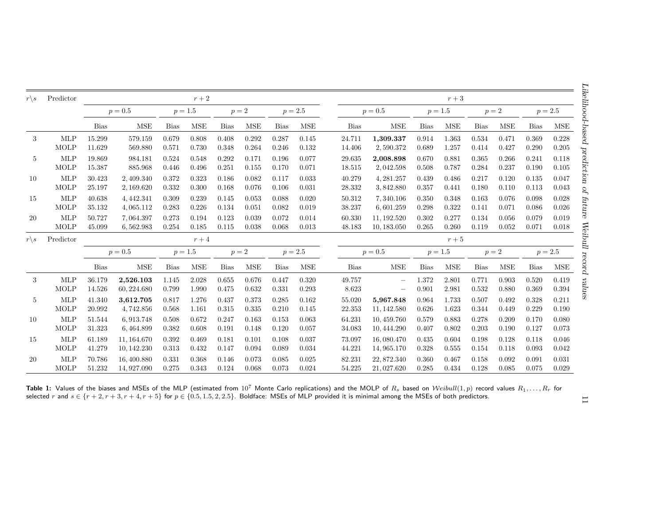<span id="page-10-0"></span>

| $r\backslash s$ | Predictor                 |                  | $r+2$                     |                |                |                |                |                |                | $r+3$            |                          |                |                |                |                |                |                |
|-----------------|---------------------------|------------------|---------------------------|----------------|----------------|----------------|----------------|----------------|----------------|------------------|--------------------------|----------------|----------------|----------------|----------------|----------------|----------------|
|                 |                           | $p = 0.5$        |                           | $p = 1.5$      |                | $p=2$          |                | $p = 2.5$      |                | $p = 0.5$        |                          | $p = 1.5$      |                | $p=2$          |                | $p = 2.5$      |                |
|                 |                           | <b>Bias</b>      | <b>MSE</b>                | <b>Bias</b>    | <b>MSE</b>     | <b>Bias</b>    | <b>MSE</b>     | <b>Bias</b>    | <b>MSE</b>     | <b>Bias</b>      | <b>MSE</b>               | <b>Bias</b>    | <b>MSE</b>     | <b>Bias</b>    | <b>MSE</b>     | <b>Bias</b>    | <b>MSE</b>     |
| 3               | <b>MLP</b>                | 15.299           | 579.159                   | 0.679          | 0.808          | 0.408          | 0.292          | 0.287          | 0.145          | 24.711           | 1,309.337                | 0.914          | 1.363          | 0.534          | 0.471          | 0.369          | 0.228          |
|                 | MOLP                      | 11.629           | 569.880                   | 0.571          | 0.730          | 0.348          | 0.264          | 0.246          | 0.132          | 14.406           | 2,590.372                | 0.689          | 1.257          | 0.414          | 0.427          | 0.290          | 0.205          |
| 5               | <b>MLP</b>                | 19.869           | 984.181                   | 0.524          | 0.548          | 0.292          | 0.171          | 0.196          | 0.077          | 29.635           | 2,008.898                | 0.670          | 0.881          | 0.365          | 0.266          | 0.241          | 0.118          |
|                 | <b>MOLP</b>               | 15.387           | 885.968                   | 0.446          | 0.496          | 0.251          | 0.155          | 0.170          | 0.071          | 18.515           | 2,042.598                | 0.508          | 0.787          | 0.284          | 0.237          | 0.190          | 0.105          |
| 10              | <b>MLP</b>                | 30.423           | 2,409.340                 | 0.372          | 0.323          | 0.186          | 0.082          | 0.117          | 0.033          | 40.279           | 4, 281.257               | 0.439          | 0.486          | 0.217          | 0.120          | 0.135          | 0.047          |
|                 | <b>MOLP</b>               | 25.197           | 2,169.620                 | 0.332          | 0.300          | 0.168          | 0.076          | 0.106          | 0.031          | 28.332           | 3,842.880                | 0.357          | 0.441          | 0.180          | 0.110          | 0.113          | 0.043          |
| 15              | <b>MLP</b>                | 40.638           | 4, 442.341                | 0.309          | 0.239          | 0.145          | 0.053          | 0.088          | 0.020          | 50.312           | 7,340.106                | 0.350          | 0.348          | 0.163          | 0.076          | 0.098          | 0.028          |
|                 | MOLP                      | 35.132           | 4,065.112                 | 0.283          | 0.226          | 0.134          | 0.051          | 0.082          | 0.019          | 38.237           | 6,601.259                | 0.298          | 0.322          | 0.141          | 0.071          | 0.086          | 0.026          |
| 20              | <b>MLP</b>                | 50.727           | 7,064.397                 | 0.273          | 0.194          | 0.123          | 0.039          | 0.072          | 0.014          | 60.330           | 11, 192.520              | 0.302          | 0.277          | 0.134          | 0.056          | 0.079          | 0.019          |
|                 | <b>MOLP</b>               | 45.099           | 6,562.983                 | 0.254          | 0.185          | 0.115          | 0.038          | 0.068          | 0.013          | 48.183           | 10, 183.050              | 0.265          | 0.260          | 0.119          | 0.052          | 0.071          | 0.018          |
| $r\backslash s$ | Predictor                 | $r+4$            |                           |                |                |                |                |                | $r+5$          |                  |                          |                |                |                |                |                |                |
|                 |                           | $p = 0.5$        |                           | $p = 1.5$      |                | $p=2$          |                | $p = 2.5$      |                | $p = 0.5$        |                          | $p = 1.5$      |                | $p=2$          |                | $p = 2.5$      |                |
|                 |                           | <b>Bias</b>      | <b>MSE</b>                | <b>Bias</b>    | <b>MSE</b>     | <b>Bias</b>    | <b>MSE</b>     | <b>Bias</b>    | <b>MSE</b>     | <b>Bias</b>      | <b>MSE</b>               | <b>Bias</b>    | <b>MSE</b>     | <b>Bias</b>    | <b>MSE</b>     | Bias           | MSE            |
| 3               | <b>MLP</b><br><b>MOLP</b> | 36.179<br>14.526 | 2,526.103<br>60, 224.680  | 1.145<br>0.799 | 2.028<br>1.990 | 0.655<br>0.475 | 0.676<br>0.632 | 0.447<br>0.331 | 0.320<br>0.293 | 49.757<br>8.623  | $\overline{\phantom{0}}$ | 1.372<br>0.901 | 2.801<br>2.981 | 0.771<br>0.532 | 0.903<br>0.880 | 0.520<br>0.369 | 0.419<br>0.394 |
| 5               | <b>MLP</b>                | 41.340           | 3,612.705                 | 0.817          | 1.276          | 0.437          | 0.373          | 0.285          | 0.162          | 55.020           | 5,967.848                | 0.964          | 1.733          | 0.507          | 0.492          | 0.328          | 0.211          |
|                 | MOLP                      | 20.992           | 4,742.856                 | 0.568          | 1.161          | 0.315          | 0.335          | 0.210          | 0.145          | 22.353           | 11, 142.580              | 0.626          | 1.623          | 0.344          | 0.449          | 0.229          | 0.190          |
| 10              | <b>MLP</b>                | 51.544           | 6,913.748                 | 0.508          | 0.672          | 0.247          | 0.163          | 0.153          | 0.063          | 64.231           | 10, 459.760              | 0.579          | 0.883          | 0.278          | 0.209          | 0.170          | 0.080          |
|                 | <b>MOLP</b>               | 31.323           | 6,464.899                 | 0.382          | 0.608          | 0.191          | 0.148          | 0.120          | 0.057          | 34.083           | 10, 444.290              | 0.407          | 0.802          | 0.203          | 0.190          | 0.127          | 0.073          |
| 15              | <b>MLP</b>                | 61.189           | 11, 164.670               | 0.392          | 0.469          | 0.181          | 0.101          | 0.108          | 0.037          | 73.097           | 16,080.470               | 0.435          | 0.604          | 0.198          | 0.128          | 0.118          | 0.046          |
|                 | <b>MOLP</b>               | 41.279           | 10, 142.230               | 0.313          | 0.432          | 0.147          | 0.094          | 0.089          | 0.034          | 44.221           | 14, 965.170              | 0.328          | 0.555          | 0.154          | 0.118          | 0.093          | 0.042          |
|                 | <b>MLP</b>                | 70.786           | 16, 400.880<br>14,927.090 | 0.331<br>0.275 | 0.368<br>0.343 | 0.146<br>0.124 | 0.073<br>0.068 | 0.085<br>0.073 | 0.025<br>0.024 | 82.231<br>54.225 | 22,872.340<br>21,027.620 | 0.360<br>0.285 | 0.467<br>0.434 | 0.158<br>0.128 | 0.092<br>0.085 | 0.091<br>0.075 | 0.031<br>0.029 |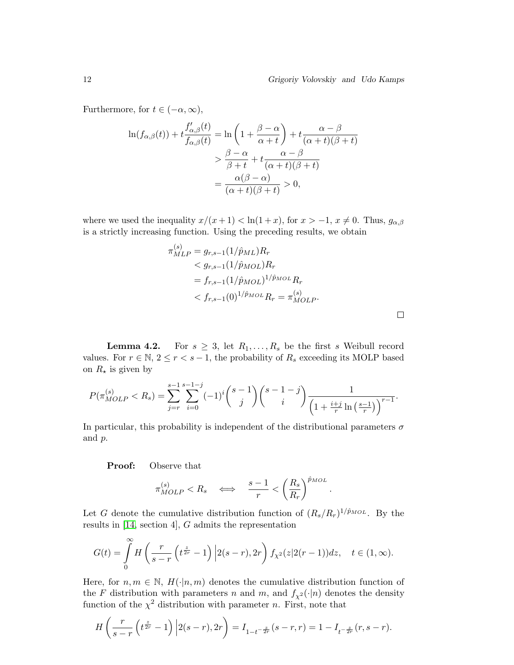.

Furthermore, for  $t \in (-\alpha, \infty)$ ,

$$
\ln(f_{\alpha,\beta}(t)) + t \frac{f'_{\alpha,\beta}(t)}{f_{\alpha,\beta}(t)} = \ln\left(1 + \frac{\beta - \alpha}{\alpha + t}\right) + t \frac{\alpha - \beta}{(\alpha + t)(\beta + t)}
$$
  
> 
$$
\frac{\beta - \alpha}{\beta + t} + t \frac{\alpha - \beta}{(\alpha + t)(\beta + t)}
$$
  
= 
$$
\frac{\alpha(\beta - \alpha)}{(\alpha + t)(\beta + t)} > 0,
$$

where we used the inequality  $x/(x+1) < \ln(1+x)$ , for  $x > -1$ ,  $x \neq 0$ . Thus,  $g_{\alpha,\beta}$ is a strictly increasing function. Using the preceding results, we obtain

$$
\pi_{MLP}^{(s)} = g_{r,s-1}(1/\hat{p}_{ML})R_r
$$
  

$$
< g_{r,s-1}(1/\hat{p}_{MOL})R_r
$$
  

$$
= f_{r,s-1}(1/\hat{p}_{MOL})^{1/\hat{p}_{MOL}}R_r
$$
  

$$
< f_{r,s-1}(0)^{1/\hat{p}_{MOL}}R_r = \pi_{MOLP}^{(s)}.
$$

**Lemma 4.2.** For  $s \geq 3$ , let  $R_1, \ldots, R_s$  be the first s Weibull record values. For  $r \in \mathbb{N}$ ,  $2 \le r < s - 1$ , the probability of  $R_s$  exceeding its MOLP based on  $R_{\star}$  is given by

$$
P(\pi_{MOLP}^{(s)} < R_s) = \sum_{j=r}^{s-1} \sum_{i=0}^{s-1-j} (-1)^i \binom{s-1}{j} \binom{s-1-j}{i} \frac{1}{\left(1 + \frac{i+j}{r} \ln\left(\frac{s-1}{r}\right)\right)^{r-1}}.
$$

In particular, this probability is independent of the distributional parameters  $\sigma$ and p.

Proof: Observe that

$$
\pi_{MOLP}^{(s)} < R_s \quad \Longleftrightarrow \quad \frac{s-1}{r} < \left(\frac{R_s}{R_r}\right)^{\hat{p}_{MOL}}
$$

Let G denote the cumulative distribution function of  $(R_s/R_r)^{1/\hat{p}_{MOL}}$ . By the results in [\[14,](#page-23-2) section 4], G admits the representation

$$
G(t)=\int\limits_0^\infty H\left(\frac{r}{s-r}\left(t^{\frac{z}{2r}}-1\right)\Big|2(s-r),2r\right)f_{\chi^2}(z|2(r-1))dz,\quad t\in (1,\infty).
$$

Here, for  $n, m \in \mathbb{N}$ ,  $H(\cdot | n, m)$  denotes the cumulative distribution function of the F distribution with parameters n and m, and  $f_{\chi^2}(\cdot|n)$  denotes the density function of the  $\chi^2$  distribution with parameter n. First, note that

$$
H\left(\frac{r}{s-r}\left(t^{\frac{z}{2r}}-1\right)\Big|2(s-r),2r\right) = I_{1-t^{-\frac{z}{2r}}}(s-r,r) = 1 - I_{t^{-\frac{z}{2r}}}(r,s-r).
$$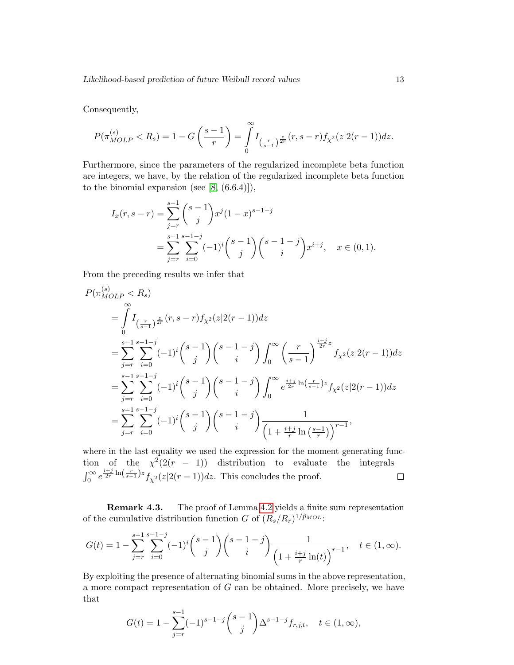Consequently,

 $\sim$ 

$$
P(\pi_{MOLP}^{(s)} < R_s) = 1 - G\left(\frac{s-1}{r}\right) = \int_{0}^{\infty} I_{\left(\frac{r}{s-1}\right)^{\frac{z}{2r}}}(r, s-r) f_{\chi^2}(z|2(r-1)) dz.
$$

Furthermore, since the parameters of the regularized incomplete beta function are integers, we have, by the relation of the regularized incomplete beta function to the binomial expansion (see  $[8, (6.6.4)]$ ),

$$
I_x(r, s-r) = \sum_{j=r}^{s-1} {s-1 \choose j} x^j (1-x)^{s-1-j}
$$
  
= 
$$
\sum_{j=r}^{s-1} \sum_{i=0}^{s-1-j} (-1)^i {s-1 \choose j} {s-1-j \choose i} x^{i+j}, \quad x \in (0,1).
$$

From the preceding results we infer that

$$
P(\pi_{MOLP}^{(s)} < R_s)
$$
  
\n
$$
= \int_{0}^{\infty} I_{\left(\frac{r}{s-1}\right)^{\frac{z}{2r}}}(r, s-r) f_{\chi^2}(z|2(r-1)) dz
$$
  
\n
$$
= \sum_{j=r}^{s-1} \sum_{i=0}^{s-1-j} (-1)^i {s-1 \choose j} {s-1-j \choose i} \int_{0}^{\infty} \left(\frac{r}{s-1}\right)^{\frac{i+j}{2r}z} f_{\chi^2}(z|2(r-1)) dz
$$
  
\n
$$
= \sum_{j=r}^{s-1} \sum_{i=0}^{s-1-j} (-1)^i {s-1 \choose j} {s-1-j \choose i} \int_{0}^{\infty} e^{\frac{izj}{2r} \ln\left(\frac{r}{s-1}\right)z} f_{\chi^2}(z|2(r-1)) dz
$$
  
\n
$$
= \sum_{j=r}^{s-1} \sum_{i=0}^{s-1-j} (-1)^i {s-1 \choose j} {s-1-j \choose i} \frac{1}{\left(1+\frac{i+j}{r} \ln\left(\frac{s-1}{r}\right)\right)^{r-1}},
$$

where in the last equality we used the expression for the moment generating function of the  $\chi^2(2(r - 1))$  distribution to evaluate the integrals  $\int_0^\infty e^{\frac{i+j}{2r}\ln\left(\frac{r}{s-1}\right)z} f_{\chi^2}(z|2(r-1))dz$ . This concludes the proof.  $\Box$ 

Remark 4.3. The proof of Lemma [4.2](#page-0-0) yields a finite sum representation of the cumulative distribution function G of  $(R_s/R_r)^{1/\hat{p}_{MOL}}$ :

$$
G(t) = 1 - \sum_{j=r}^{s-1} \sum_{i=0}^{s-1-j} (-1)^i \binom{s-1}{j} \binom{s-1-j}{i} \frac{1}{\left(1 + \frac{i+j}{r} \ln(t)\right)^{r-1}}, \quad t \in (1, \infty).
$$

By exploiting the presence of alternating binomial sums in the above representation, a more compact representation of G can be obtained. More precisely, we have that

$$
G(t) = 1 - \sum_{j=r}^{s-1} (-1)^{s-1-j} {s-1 \choose j} \Delta^{s-1-j} f_{r,j,t}, \quad t \in (1, \infty),
$$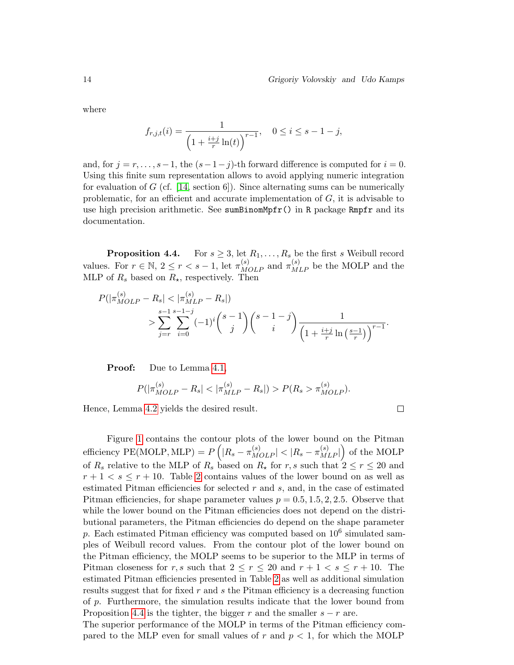$\Box$ 

where

$$
f_{r,j,t}(i) = \frac{1}{\left(1 + \frac{i+j}{r} \ln(t)\right)^{r-1}}, \quad 0 \le i \le s - 1 - j,
$$

and, for  $j = r, \ldots, s-1$ , the  $(s-1-j)$ -th forward difference is computed for  $i = 0$ . Using this finite sum representation allows to avoid applying numeric integration for evaluation of G (cf. [\[14,](#page-23-2) section 6]). Since alternating sums can be numerically problematic, for an efficient and accurate implementation of  $G$ , it is advisable to use high precision arithmetic. See sumBinomMpfr() in R package Rmpfr and its documentation.

**Proposition 4.4.** For  $s \geq 3$ , let  $R_1, \ldots, R_s$  be the first s Weibull record values. For  $r \in \mathbb{N}$ ,  $2 \le r < s - 1$ , let  $\pi_{MOLP}^{(s)}$  and  $\pi_{MLP}^{(s)}$  be the MOLP and the MLP of  $R_s$  based on  $R_{\star}$ , respectively. Then

$$
P(|\pi_{MOLP}^{(s)} - R_s| < |\pi_{MLP}^{(s)} - R_s|)
$$
  
> 
$$
\sum_{j=r}^{s-1} \sum_{i=0}^{s-1-j} (-1)^i {s-1 \choose j} {s-1-j \choose i} \frac{1}{\left(1 + \frac{i+j}{r} \ln\left(\frac{s-1}{r}\right)\right)^{r-1}}.
$$

**Proof:** Due to Lemma [4.1,](#page-0-0)

$$
P(|\pi_{MOLP}^{(s)} - R_s| < |\pi_{MLP}^{(s)} - R_s|) > P(R_s > \pi_{MOLP}^{(s)}).
$$

Hence, Lemma [4.2](#page-0-0) yields the desired result.

Figure [1](#page-14-0) contains the contour plots of the lower bound on the Pitman efficiency PE(MOLP, MLP) =  $P\left(|R_s - \pi_{MOLP}^{(s)}| < |R_s - \pi_{MLP}^{(s)}|\right)$  of the MOLP of  $R_s$  relative to the MLP of  $R_s$  based on  $R_{\star}$  for r, s such that  $2 \le r \le 20$  and  $r + 1 < s \leq r + 10$ . Table [2](#page-15-0) contains values of the lower bound on as well as estimated Pitman efficiencies for selected  $r$  and  $s$ , and, in the case of estimated Pitman efficiencies, for shape parameter values  $p = 0.5, 1.5, 2, 2.5$ . Observe that while the lower bound on the Pitman efficiencies does not depend on the distributional parameters, the Pitman efficiencies do depend on the shape parameter p. Each estimated Pitman efficiency was computed based on  $10^6$  simulated samples of Weibull record values. From the contour plot of the lower bound on the Pitman efficiency, the MOLP seems to be superior to the MLP in terms of Pitman closeness for r, s such that  $2 \le r \le 20$  and  $r + 1 < s \le r + 10$ . The estimated Pitman efficiencies presented in Table [2](#page-15-0) as well as additional simulation results suggest that for fixed  $r$  and  $s$  the Pitman efficiency is a decreasing function of p. Furthermore, the simulation results indicate that the lower bound from Proposition [4.4](#page-0-0) is the tighter, the bigger r and the smaller  $s - r$  are.

The superior performance of the MOLP in terms of the Pitman efficiency compared to the MLP even for small values of r and  $p < 1$ , for which the MOLP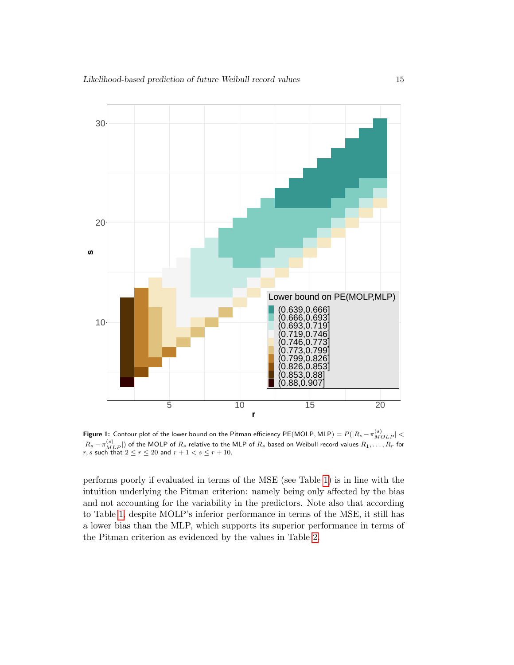<span id="page-14-0"></span>

**Figure 1:** Contour plot of the lower bound on the Pitman efficiency  $\mathsf{PE}(\mathsf{MOLP},\mathsf{MLP})=P(|R_s-\pi_{MOLP}^{(s)}|<\infty)$  $|R_s - \pi_{MLP}^{(s)}|$  of the MOLP of  $R_s$  relative to the MLP of  $R_s$  based on Weibull record values  $R_1, \ldots, R_r$  for  $r, s$  such that  $2 \le r \le 20$  and  $r + 1 < s \le r + 10$ .

performs poorly if evaluated in terms of the MSE (see Table [1\)](#page-10-0) is in line with the intuition underlying the Pitman criterion: namely being only affected by the bias and not accounting for the variability in the predictors. Note also that according to Table [1,](#page-10-0) despite MOLP's inferior performance in terms of the MSE, it still has a lower bias than the MLP, which supports its superior performance in terms of the Pitman criterion as evidenced by the values in Table [2.](#page-15-0)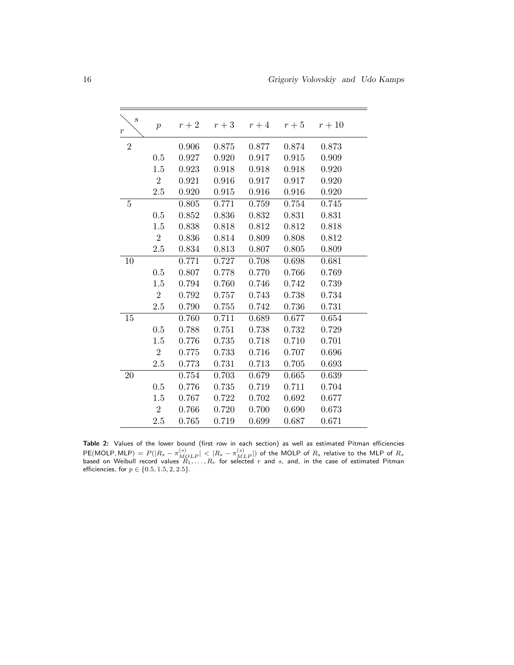<span id="page-15-0"></span>

| $\boldsymbol{s}$<br>$\,r\,$ | $\boldsymbol{p}$ | $r+2$ | $r+3$ |       | $r+4$ $r+5$ | $r+10$ |
|-----------------------------|------------------|-------|-------|-------|-------------|--------|
| $\overline{2}$              |                  | 0.906 | 0.875 | 0.877 | 0.874       | 0.873  |
|                             | 0.5              | 0.927 | 0.920 | 0.917 | 0.915       | 0.909  |
|                             | $1.5\,$          | 0.923 | 0.918 | 0.918 | 0.918       | 0.920  |
|                             | $\overline{2}$   | 0.921 | 0.916 | 0.917 | 0.917       | 0.920  |
|                             | 2.5              | 0.920 | 0.915 | 0.916 | 0.916       | 0.920  |
| $\overline{5}$              |                  | 0.805 | 0.771 | 0.759 | 0.754       | 0.745  |
|                             | 0.5              | 0.852 | 0.836 | 0.832 | 0.831       | 0.831  |
|                             | 1.5              | 0.838 | 0.818 | 0.812 | 0.812       | 0.818  |
|                             | $\overline{2}$   | 0.836 | 0.814 | 0.809 | 0.808       | 0.812  |
|                             | 2.5              | 0.834 | 0.813 | 0.807 | 0.805       | 0.809  |
| 10                          |                  | 0.771 | 0.727 | 0.708 | 0.698       | 0.681  |
|                             | 0.5              | 0.807 | 0.778 | 0.770 | 0.766       | 0.769  |
|                             | 1.5              | 0.794 | 0.760 | 0.746 | 0.742       | 0.739  |
|                             | $\overline{2}$   | 0.792 | 0.757 | 0.743 | 0.738       | 0.734  |
|                             | 2.5              | 0.790 | 0.755 | 0.742 | 0.736       | 0.731  |
| 15                          |                  | 0.760 | 0.711 | 0.689 | 0.677       | 0.654  |
|                             | 0.5              | 0.788 | 0.751 | 0.738 | 0.732       | 0.729  |
|                             | 1.5              | 0.776 | 0.735 | 0.718 | 0.710       | 0.701  |
|                             | $\boldsymbol{2}$ | 0.775 | 0.733 | 0.716 | 0.707       | 0.696  |
|                             | 2.5              | 0.773 | 0.731 | 0.713 | 0.705       | 0.693  |
| 20                          |                  | 0.754 | 0.703 | 0.679 | 0.665       | 0.639  |
|                             | 0.5              | 0.776 | 0.735 | 0.719 | 0.711       | 0.704  |
|                             | 1.5              | 0.767 | 0.722 | 0.702 | 0.692       | 0.677  |
|                             | $\overline{2}$   | 0.766 | 0.720 | 0.700 | 0.690       | 0.673  |
|                             | 2.5              | 0.765 | 0.719 | 0.699 | 0.687       | 0.671  |

Table 2: Values of the lower bound (first row in each section) as well as estimated Pitman efficiencies  $\mathsf{PE}(\mathsf{MOLP},\mathsf{MLP}) = P(|R_s-\pi_{MLDP}^{(s)}| < |R_s-\pi_{MLP}^{(s)}|)$  of the MOLP of  $R_s$  relative to the MLP of  $R_s$ <br>based on Weibull record values  $R_1,\ldots,R_r$  for selected  $r$  and  $s$ , and, in the case of estimated Pitman efficiencies, for  $p \in \{0.5, 1.5, 2, 2.5\}.$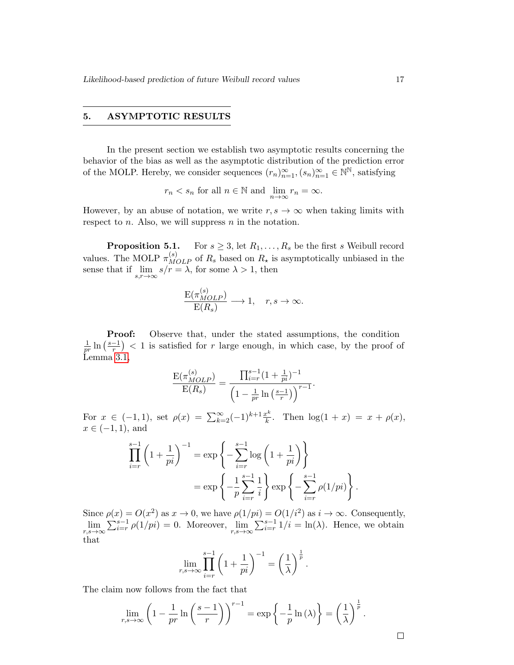#### 5. ASYMPTOTIC RESULTS

In the present section we establish two asymptotic results concerning the behavior of the bias as well as the asymptotic distribution of the prediction error of the MOLP. Hereby, we consider sequences  $(r_n)_{n=1}^{\infty}, (s_n)_{n=1}^{\infty} \in \mathbb{N}^{\mathbb{N}}$ , satisfying

$$
r_n < s_n
$$
 for all  $n \in \mathbb{N}$  and  $\lim_{n \to \infty} r_n = \infty$ .

However, by an abuse of notation, we write  $r, s \to \infty$  when taking limits with respect to  $n$ . Also, we will suppress  $n$  in the notation.

**Proposition 5.1.** For  $s \geq 3$ , let  $R_1, \ldots, R_s$  be the first s Weibull record values. The MOLP  $\pi_{MOLP}^{(s)}$  of  $R_s$  based on  $R_{\star}$  is asymptotically unbiased in the sense that if  $\lim_{s,r\to\infty} s/r = \lambda$ , for some  $\lambda > 1$ , then

$$
\frac{\mathcal{E}(\pi_{MOLP}^{(s)})}{\mathcal{E}(R_s)} \longrightarrow 1, \quad r, s \to \infty.
$$

Proof: Observe that, under the stated assumptions, the condition 1  $\frac{1}{pr}\ln\left(\frac{s-1}{r}\right)$  $\left(\frac{-1}{r}\right)$  < 1 is satisfied for r large enough, in which case, by the proof of Lemma [3.1,](#page-0-0)

$$
\frac{\mathcal{E}(\pi_{MOLP}^{(s)})}{\mathcal{E}(R_s)} = \frac{\prod_{i=r}^{s-1} (1 + \frac{1}{pi})^{-1}}{\left(1 - \frac{1}{pr} \ln\left(\frac{s-1}{r}\right)\right)^{r-1}}.
$$

For  $x \in (-1,1)$ , set  $\rho(x) = \sum_{k=2}^{\infty} (-1)^{k+1} \frac{x^k}{k}$  $\frac{x^{\kappa}}{k}$ . Then  $\log(1+x) = x + \rho(x)$ ,  $x \in (-1, 1)$ , and

$$
\prod_{i=r}^{s-1} \left( 1 + \frac{1}{pi} \right)^{-1} = \exp \left\{ - \sum_{i=r}^{s-1} \log \left( 1 + \frac{1}{pi} \right) \right\}
$$

$$
= \exp \left\{ - \frac{1}{p} \sum_{i=r}^{s-1} \frac{1}{i} \right\} \exp \left\{ - \sum_{i=r}^{s-1} \rho(1/pi) \right\}.
$$

Since  $\rho(x) = O(x^2)$  as  $x \to 0$ , we have  $\rho(1/pi) = O(1/i^2)$  as  $i \to \infty$ . Consequently,  $\lim_{r,s\to\infty}\sum_{i=r}^{s-1}\rho(1/pi)=0.$  Moreover,  $\lim_{r,s\to\infty}\sum_{i=r}^{s-1}1/i=\ln(\lambda).$  Hence, we obtain that

$$
\lim_{r,s\to\infty}\prod_{i=r}^{s-1}\left(1+\frac{1}{pi}\right)^{-1}=\left(\frac{1}{\lambda}\right)^{\frac{1}{p}}.
$$

The claim now follows from the fact that

$$
\lim_{r,s\to\infty}\left(1-\frac{1}{pr}\ln\left(\frac{s-1}{r}\right)\right)^{r-1}=\exp\left\{-\frac{1}{p}\ln(\lambda)\right\}=\left(\frac{1}{\lambda}\right)^{\frac{1}{p}}.
$$

 $\Box$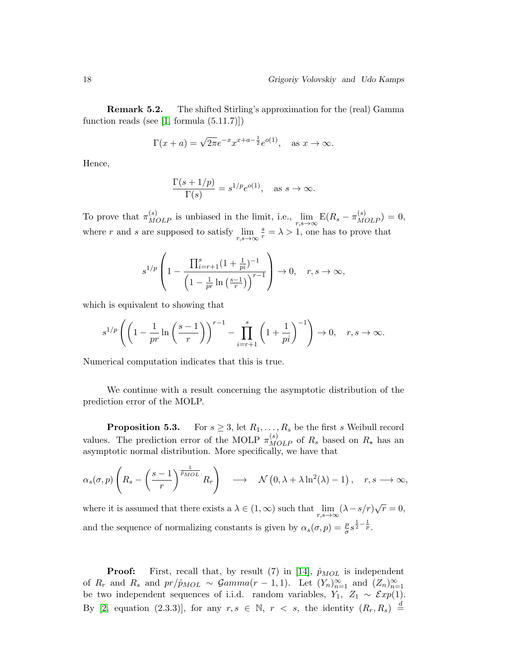Remark 5.2. The shifted Stirling's approximation for the (real) Gamma function reads (see  $[1, \text{formula } (5.11.7)]$ )

$$
\Gamma(x + a) = \sqrt{2\pi}e^{-x}x^{x+a-\frac{1}{2}}e^{o(1)}, \text{ as } x \to \infty.
$$

Hence,

$$
\frac{\Gamma(s+1/p)}{\Gamma(s)} = s^{1/p} e^{o(1)}, \text{ as } s \to \infty.
$$

To prove that  $\pi_{MOLP}^{(s)}$  is unbiased in the limit, i.e.,  $\lim_{r,s\to\infty} E(R_s - \pi_{MOLP}^{(s)}) = 0$ , where r and s are supposed to satisfy  $\lim_{r,s\to\infty}$  $\frac{s}{r} = \lambda > 1$ , one has to prove that

$$
s^{1/p} \left( 1 - \frac{\prod_{i=r+1}^s (1 + \frac{1}{pi})^{-1}}{\left( 1 - \frac{1}{pr} \ln \left( \frac{s-1}{r} \right) \right)^{r-1}} \right) \to 0, \quad r, s \to \infty,
$$

which is equivalent to showing that

$$
s^{1/p}\left(\left(1-\frac{1}{pr}\ln\left(\frac{s-1}{r}\right)\right)^{r-1}-\prod_{i=r+1}^s\left(1+\frac{1}{pi}\right)^{-1}\right)\to 0, \quad r, s \to \infty.
$$

Numerical computation indicates that this is true.

We continue with a result concerning the asymptotic distribution of the prediction error of the MOLP.

**Proposition 5.3.** For  $s \geq 3$ , let  $R_1, \ldots, R_s$  be the first s Weibull record values. The prediction error of the MOLP  $\pi_{MOLP}^{(s)}$  of  $R_s$  based on  $R_{\star}$  has an asymptotic normal distribution. More specifically, we have that

$$
\alpha_s(\sigma, p) \left( R_s - \left( \frac{s-1}{r} \right)^{\frac{1}{\hat{p}_{MOL}}} R_r \right) \longrightarrow \mathcal{N} \left( 0, \lambda + \lambda \ln^2(\lambda) - 1 \right), \quad r, s \longrightarrow \infty,
$$

where it is assumed that there exists a  $\lambda \in (1, \infty)$  such that  $\lim_{r,s \to \infty} (\lambda - s/r) \sqrt{r} = 0$ , and the sequence of normalizing constants is given by  $\alpha_s(\sigma, p) = \frac{p}{\sigma} s^{\frac{1}{2} - \frac{1}{p}}$ .

**Proof:** First, recall that, by result (7) in [\[14\]](#page-23-2),  $\hat{p}_{MOL}$  is independent of  $R_r$  and  $R_s$  and  $pr/\hat{p}_{MOL} \sim \mathcal{G}amma(r-1,1)$ . Let  $(Y_n)_{n=1}^{\infty}$  and  $(Z_n)_{n=1}^{\infty}$ be two independent sequences of i.i.d. random variables,  $Y_1$ ,  $Z_1 \sim \mathcal{E}xp(1)$ . By [\[2,](#page-22-1) equation (2.3.3)], for any  $r, s \in \mathbb{N}, r < s$ , the identity  $(R_r, R_s) \stackrel{d}{=}$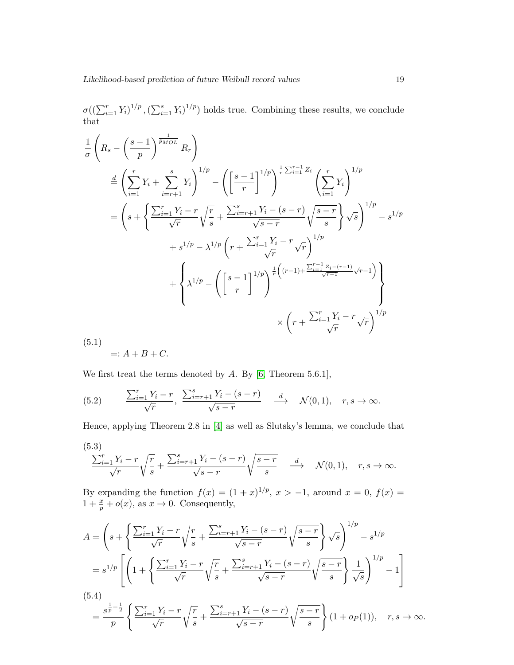$\sigma((\sum_{i=1}^r Y_i)^{1/p}, (\sum_{i=1}^s Y_i)^{1/p})$  holds true. Combining these results, we conclude that

$$
\frac{1}{\sigma} \left( R_s - \left( \frac{s-1}{p} \right)^{\frac{1}{p_{MOL}} } R_r \right)
$$
\n
$$
\stackrel{d}{=} \left( \sum_{i=1}^r Y_i + \sum_{i=r+1}^s Y_i \right)^{1/p} - \left( \left[ \frac{s-1}{r} \right]^{1/p} \right)^{\frac{1}{r} \sum_{i=1}^{r-1} Z_i} \left( \sum_{i=1}^r Y_i \right)^{1/p}
$$
\n
$$
= \left( s + \left\{ \frac{\sum_{i=1}^r Y_i - r}{\sqrt{r}} \sqrt{\frac{r}{s}} + \frac{\sum_{i=r+1}^s Y_i - (s-r)}{\sqrt{s-r}} \sqrt{\frac{s-r}{s}} \right\} \sqrt{s} \right)^{1/p} - s^{1/p}
$$
\n
$$
+ s^{1/p} - \lambda^{1/p} \left( r + \frac{\sum_{i=1}^r Y_i - r}{\sqrt{r}} \sqrt{r} \right)^{1/p}
$$
\n
$$
+ \left\{ \lambda^{1/p} - \left( \left[ \frac{s-1}{r} \right]^{1/p} \right)^{\frac{1}{r} \left( (r-1) + \frac{\sum_{i=1}^{r-1} Z_i - (r-1)}{\sqrt{r-1}} \sqrt{r-1} \right)} \right\}
$$
\n
$$
\times \left( r + \frac{\sum_{i=1}^r Y_i - r}{\sqrt{r}} \sqrt{r} \right)^{1/p}
$$
\n
$$
(5.1)
$$

<span id="page-18-1"></span>(5.1)

$$
=: A + B + C.
$$

We first treat the terms denoted by  $A$ . By [\[6,](#page-22-11) Theorem 5.6.1],

<span id="page-18-0"></span>(5.2) 
$$
\frac{\sum_{i=1}^{r} Y_i - r}{\sqrt{r}}, \frac{\sum_{i=r+1}^{s} Y_i - (s-r)}{\sqrt{s-r}} \xrightarrow{d} \mathcal{N}(0,1), r, s \to \infty.
$$

Hence, applying Theorem 2.8 in [\[4\]](#page-22-12) as well as Slutsky's lemma, we conclude that

(5.3)  
\n
$$
\frac{\sum_{i=1}^{r} Y_i - r}{\sqrt{r}} \sqrt{\frac{r}{s}} + \frac{\sum_{i=r+1}^{s} Y_i - (s-r)}{\sqrt{s-r}} \sqrt{\frac{s-r}{s}} \quad \stackrel{d}{\longrightarrow} \quad \mathcal{N}(0,1), \quad r, s \to \infty.
$$

By expanding the function  $f(x) = (1+x)^{1/p}, x > -1$ , around  $x = 0, f(x) =$  $1 + \frac{x}{p} + o(x)$ , as  $x \to 0$ . Consequently,

<span id="page-18-2"></span>
$$
A = \left(s + \left\{\frac{\sum_{i=1}^{r} Y_i - r}{\sqrt{r}} \sqrt{\frac{r}{s}} + \frac{\sum_{i=r+1}^{s} Y_i - (s-r)}{\sqrt{s-r}} \sqrt{\frac{s-r}{s}}\right\} \sqrt{s}\right)^{1/p} - s^{1/p}
$$
  
\n
$$
= s^{1/p} \left[ \left(1 + \left\{\frac{\sum_{i=1}^{r} Y_i - r}{\sqrt{r}} \sqrt{\frac{r}{s}} + \frac{\sum_{i=r+1}^{s} Y_i - (s-r)}{\sqrt{s-r}} \sqrt{\frac{s-r}{s}}\right\} \frac{1}{\sqrt{s}}\right)^{1/p} - 1 \right]
$$
  
\n(5.4)  
\n
$$
= \frac{s^{\frac{1}{p} - \frac{1}{2}}}{p} \left\{ \frac{\sum_{i=1}^{r} Y_i - r}{\sqrt{r}} \sqrt{\frac{r}{s}} + \frac{\sum_{i=r+1}^{s} Y_i - (s-r)}{\sqrt{s-r}} \sqrt{\frac{s-r}{s}} \right\} (1 + op(1)), \quad r, s \to \infty.
$$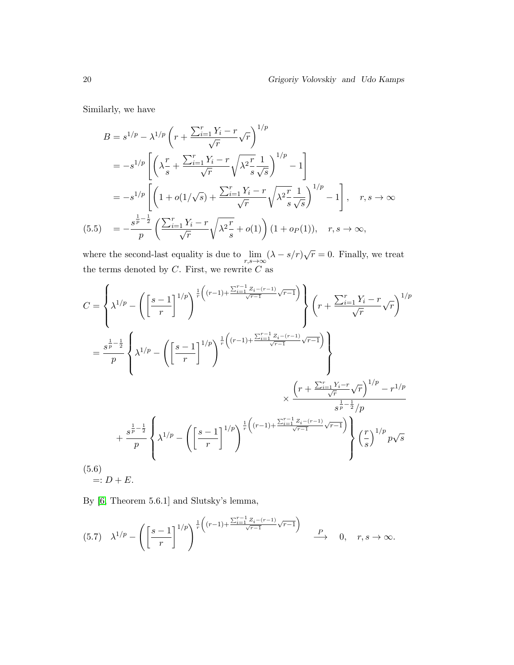Similarly, we have

$$
B = s^{1/p} - \lambda^{1/p} \left( r + \frac{\sum_{i=1}^{r} Y_i - r}{\sqrt{r}} \sqrt{r} \right)^{1/p}
$$
  
\n
$$
= -s^{1/p} \left[ \left( \lambda \frac{r}{s} + \frac{\sum_{i=1}^{r} Y_i - r}{\sqrt{r}} \sqrt{\lambda^2 \frac{r}{s}} \frac{1}{\sqrt{s}} \right)^{1/p} - 1 \right]
$$
  
\n
$$
= -s^{1/p} \left[ \left( 1 + o(1/\sqrt{s}) + \frac{\sum_{i=1}^{r} Y_i - r}{\sqrt{r}} \sqrt{\lambda^2 \frac{r}{s}} \frac{1}{\sqrt{s}} \right)^{1/p} - 1 \right], \quad r, s \to \infty
$$
  
\n(5.5) 
$$
= -\frac{s^{\frac{1}{p} - \frac{1}{2}}}{p} \left( \frac{\sum_{i=1}^{r} Y_i - r}{\sqrt{r}} \sqrt{\lambda^2 \frac{r}{s}} + o(1) \right) (1 + o_P(1)), \quad r, s \to \infty,
$$

<span id="page-19-1"></span>where the second-last equality is due to  $\lim_{r,s\to\infty} (\lambda - s/r)\sqrt{r} = 0$ . Finally, we treat the terms denoted by  $C$ . First, we rewrite  $C$  as

$$
C = \left\{ \lambda^{1/p} - \left( \left[ \frac{s-1}{r} \right]^{1/p} \right)^{\frac{1}{r} \left( (r-1) + \frac{\sum_{i=1}^{r-1} Z_i - (r-1)}{\sqrt{r-1}} \sqrt{r-1} \right)} \right\} \left( r + \frac{\sum_{i=1}^{r} Y_i - r}{\sqrt{r}} \sqrt{r} \right)^{1/p}
$$
  
\n
$$
= \frac{s^{\frac{1}{p} - \frac{1}{2}}}{p} \left\{ \lambda^{1/p} - \left( \left[ \frac{s-1}{r} \right]^{1/p} \right)^{\frac{1}{r} \left( (r-1) + \frac{\sum_{i=1}^{r-1} Z_i - (r-1)}{\sqrt{r-1}} \sqrt{r-1} \right)} \right\}
$$
  
\n
$$
\times \frac{\left( r + \frac{\sum_{i=1}^{r} Y_i - r}{\sqrt{r}} \sqrt{r} \right)^{1/p} - r^{1/p}}{s^{\frac{1}{p} - \frac{1}{2}} / p}
$$
  
\n
$$
+ \frac{s^{\frac{1}{p} - \frac{1}{2}}}{p} \left\{ \lambda^{1/p} - \left( \left[ \frac{s-1}{r} \right]^{1/p} \right)^{\frac{1}{r} \left( (r-1) + \frac{\sum_{i=1}^{r-1} Z_i - (r-1)}{\sqrt{r-1}} \sqrt{r-1} \right)} \right\} \left( \frac{r}{s} \right)^{1/p} p\sqrt{s}
$$
  
\n(5.6)  
\n
$$
=: D + E.
$$

<span id="page-19-2"></span>By [\[6,](#page-22-11) Theorem 5.6.1] and Slutsky's lemma,

<span id="page-19-0"></span>
$$
(5.7) \quad \lambda^{1/p} - \left( \left[ \frac{s-1}{r} \right]^{1/p} \right)^{\frac{1}{r} \left( (r-1) + \frac{\sum_{i=1}^{r-1} Z_i - (r-1)}{\sqrt{r-1}} \sqrt{r-1} \right)} \xrightarrow{P} 0, \quad r, s \to \infty.
$$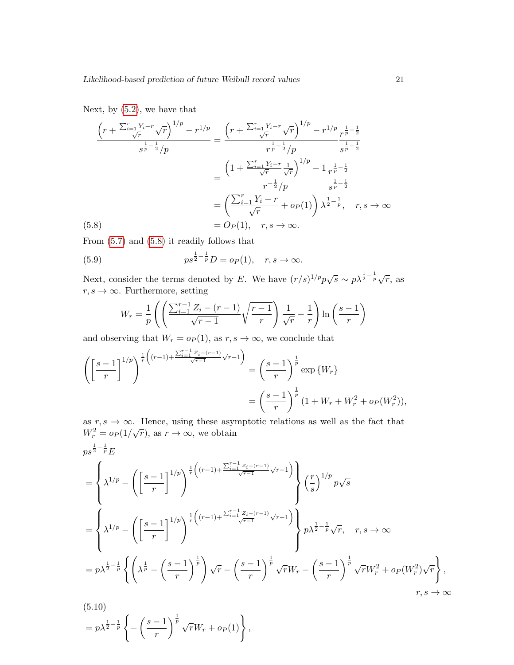Next, by  $(5.2)$ , we have that

$$
\frac{\left(r + \frac{\sum_{i=1}^{r} Y_i - r}{\sqrt{r}} \sqrt{r}\right)^{1/p} - r^{1/p}}{s^{\frac{1}{p} - \frac{1}{2}}/p} = \frac{\left(r + \frac{\sum_{i=1}^{r} Y_i - r}{\sqrt{r}} \sqrt{r}\right)^{1/p} - r^{1/p}}{r^{\frac{1}{p} - \frac{1}{2}}/p} \frac{r^{\frac{1}{p} - \frac{1}{2}}}{s^{\frac{1}{p} - \frac{1}{2}}}
$$
\n
$$
= \frac{\left(1 + \frac{\sum_{i=1}^{r} Y_i - r}{\sqrt{r}} \frac{1}{\sqrt{r}}\right)^{1/p} - 1}{r^{-\frac{1}{2}}/p} \frac{r^{\frac{1}{p} - \frac{1}{2}}}{s^{\frac{1}{p} - \frac{1}{2}}}
$$
\n
$$
= \left(\frac{\sum_{i=1}^{r} Y_i - r}{\sqrt{r}} + o_P(1)\right) \lambda^{\frac{1}{2} - \frac{1}{p}}, \quad r, s \to \infty
$$
\n(5.8)\n
$$
= O_P(1), \quad r, s \to \infty.
$$

<span id="page-20-0"></span>From [\(5.7\)](#page-19-0) and [\(5.8\)](#page-20-0) it readily follows that

<span id="page-20-1"></span>(5.9) 
$$
p s^{\frac{1}{2} - \frac{1}{p}} D = o_P(1), \quad r, s \to \infty.
$$

Next, consider the terms denoted by E. We have  $(r/s)^{1/p} p\sqrt{s} \sim p\lambda^{\frac{1}{2}-\frac{1}{p}}\sqrt{r}$ , as  $r, s \rightarrow \infty$ . Furthermore, setting

$$
W_r = \frac{1}{p} \left( \left( \frac{\sum_{i=1}^{r-1} Z_i - (r-1)}{\sqrt{r-1}} \sqrt{\frac{r-1}{r}} \right) \frac{1}{\sqrt{r}} - \frac{1}{r} \right) \ln \left( \frac{s-1}{r} \right)
$$

and observing that  $W_r = o_P(1)$ , as  $r, s \to \infty$ , we conclude that

$$
\left( \left[ \frac{s-1}{r} \right]^{1/p} \right)^{\frac{1}{r} \left( (r-1) + \frac{\sum_{i=1}^{r-1} Z_i - (r-1)}{\sqrt{r-1}} \sqrt{r-1} \right)} = \left( \frac{s-1}{r} \right)^{\frac{1}{p}} \exp \{ W_r \}
$$

$$
= \left( \frac{s-1}{r} \right)^{\frac{1}{p}} (1 + W_r + W_r^2 + o_P(W_r^2)),
$$

as  $r, s \to \infty$ . Hence, using these asymptotic relations as well as the fact that as  $r, s \to \infty$ . Thence, using these asymorphies as  $W_r^2 = o_P(1/\sqrt{r})$ , as  $r \to \infty$ , we obtain

$$
p s^{\frac{1}{2} - \frac{1}{p}} E
$$
\n
$$
= \left\{ \lambda^{1/p} - \left( \left[ \frac{s-1}{r} \right]^{1/p} \right)^{\frac{1}{r} \left( (r-1) + \frac{\sum_{i=1}^{r-1} Z_i - (r-1)}{\sqrt{r-1}} \sqrt{r-1} \right)} \right\} \left( \frac{r}{s} \right)^{1/p} p \sqrt{s}
$$
\n
$$
= \left\{ \lambda^{1/p} - \left( \left[ \frac{s-1}{r} \right]^{1/p} \right)^{\frac{1}{r} \left( (r-1) + \frac{\sum_{i=1}^{r-1} Z_i - (r-1)}{\sqrt{r-1}} \sqrt{r-1} \right)} p \lambda^{\frac{1}{2} - \frac{1}{p}} \sqrt{r}, \quad r, s \to \infty \right\}
$$
\n
$$
= p \lambda^{\frac{1}{2} - \frac{1}{p}} \left\{ \left( \lambda^{\frac{1}{p}} - \left( \frac{s-1}{r} \right)^{\frac{1}{p}} \right) \sqrt{r} - \left( \frac{s-1}{r} \right)^{\frac{1}{p}} \sqrt{r} W_r - \left( \frac{s-1}{r} \right)^{\frac{1}{p}} \sqrt{r} W_r^2 + o_P(W_r^2) \sqrt{r} \right\}, \quad r, s \to \infty
$$
\n
$$
r, s \to \infty
$$

<span id="page-20-2"></span>(5.10)  
= 
$$
p\lambda^{\frac{1}{2}-\frac{1}{p}}\left\{-\left(\frac{s-1}{r}\right)^{\frac{1}{p}}\sqrt{r}W_r+o_P(1)\right\},\,
$$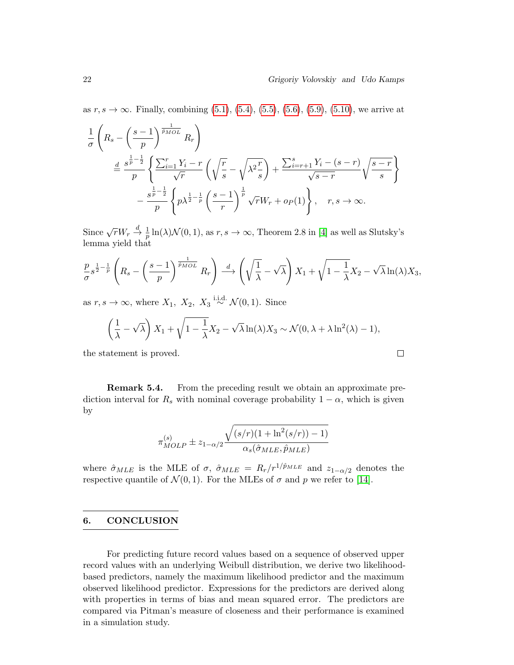$\Box$ 

as  $r, s \to \infty$ . Finally, combining [\(5.1\)](#page-18-1), [\(5.4\)](#page-18-2), [\(5.5\)](#page-19-1), [\(5.6\)](#page-19-2), [\(5.9\)](#page-20-1), [\(5.10\)](#page-20-2), we arrive at

$$
\frac{1}{\sigma} \left( R_s - \left( \frac{s-1}{p} \right)^{\frac{1}{\tilde{p}_{MOL}}} R_r \right)
$$
\n
$$
\stackrel{d}{=} \frac{s^{\frac{1}{p} - \frac{1}{2}}}{p} \left\{ \frac{\sum_{i=1}^r Y_i - r}{\sqrt{r}} \left( \sqrt{\frac{r}{s}} - \sqrt{\lambda^2 \frac{r}{s}} \right) + \frac{\sum_{i=r+1}^s Y_i - (s-r)}{\sqrt{s-r}} \sqrt{\frac{s-r}{s}} \right\}
$$
\n
$$
- \frac{s^{\frac{1}{p} - \frac{1}{2}}}{p} \left\{ p \lambda^{\frac{1}{2} - \frac{1}{p}} \left( \frac{s-1}{r} \right)^{\frac{1}{p}} \sqrt{r} W_r + o_P(1) \right\}, \quad r, s \to \infty.
$$

Since  $\sqrt{r}W_r \stackrel{d}{\to} \frac{1}{p}\ln(\lambda)\mathcal{N}(0,1)$ , as  $r, s \to \infty$ , Theorem 2.8 in [\[4\]](#page-22-12) as well as Slutsky's lemma yield that

$$
\frac{p}{\sigma} s^{\frac{1}{2} - \frac{1}{p}} \left( R_s - \left( \frac{s-1}{p} \right)^{\frac{1}{\bar{p}_{MOL}}} R_r \right) \stackrel{d}{\longrightarrow} \left( \sqrt{\frac{1}{\lambda}} - \sqrt{\lambda} \right) X_1 + \sqrt{1 - \frac{1}{\lambda}} X_2 - \sqrt{\lambda} \ln(\lambda) X_3,
$$

as  $r, s \to \infty$ , where  $X_1, X_2, X_3 \stackrel{\text{i.i.d.}}{\sim} \mathcal{N}(0, 1)$ . Since

$$
\left(\frac{1}{\lambda} - \sqrt{\lambda}\right)X_1 + \sqrt{1 - \frac{1}{\lambda}}X_2 - \sqrt{\lambda}\ln(\lambda)X_3 \sim \mathcal{N}(0, \lambda + \lambda\ln^2(\lambda) - 1),
$$

the statement is proved.

Remark 5.4. From the preceding result we obtain an approximate prediction interval for  $R_s$  with nominal coverage probability  $1 - \alpha$ , which is given by

$$
\pi_{MOLP}^{(s)} \pm z_{1-\alpha/2} \frac{\sqrt{(s/r)(1+\ln^2(s/r))-1)}}{\alpha_s(\hat{\sigma}_{MLE}, \hat{p}_{MLE})}
$$

where  $\hat{\sigma}_{MLE}$  is the MLE of  $\sigma$ ,  $\hat{\sigma}_{MLE} = R_r/r^{1/\hat{p}_{MLE}}$  and  $z_{1-\alpha/2}$  denotes the respective quantile of  $\mathcal{N}(0, 1)$ . For the MLEs of  $\sigma$  and  $p$  we refer to [\[14\]](#page-23-2).

#### 6. CONCLUSION

For predicting future record values based on a sequence of observed upper record values with an underlying Weibull distribution, we derive two likelihoodbased predictors, namely the maximum likelihood predictor and the maximum observed likelihood predictor. Expressions for the predictors are derived along with properties in terms of bias and mean squared error. The predictors are compared via Pitman's measure of closeness and their performance is examined in a simulation study.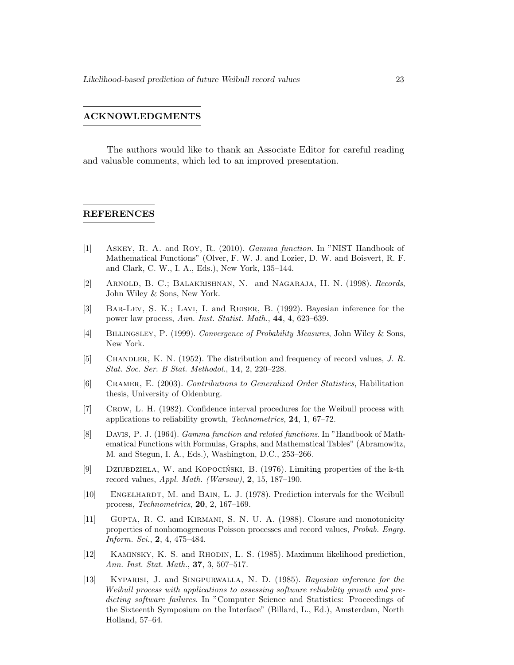#### ACKNOWLEDGMENTS

The authors would like to thank an Associate Editor for careful reading and valuable comments, which led to an improved presentation.

#### REFERENCES

- <span id="page-22-10"></span>[1] Askey, R. A. and Roy, R. (2010). Gamma function. In "NIST Handbook of Mathematical Functions" (Olver, F. W. J. and Lozier, D. W. and Boisvert, R. F. and Clark, C. W., I. A., Eds.), New York, 135–144.
- <span id="page-22-1"></span>[2] Arnold, B. C.; Balakrishnan, N. and Nagaraja, H. N. (1998). Records, John Wiley & Sons, New York.
- <span id="page-22-7"></span>[3] Bar-Lev, S. K.; Lavi, I. and Reiser, B. (1992). Bayesian inference for the power law process, Ann. Inst. Statist. Math., 44, 4, 623–639.
- <span id="page-22-12"></span>[4] Billingsley, P. (1999). Convergence of Probability Measures, John Wiley & Sons, New York.
- <span id="page-22-0"></span>[5] Chandler, K. N. (1952). The distribution and frequency of record values, J. R. Stat. Soc. Ser. B Stat. Methodol., 14, 2, 220–228.
- <span id="page-22-11"></span>[6] Cramer, E. (2003). Contributions to Generalized Order Statistics, Habilitation thesis, University of Oldenburg.
- <span id="page-22-4"></span>[7] Crow, L. H. (1982). Confidence interval procedures for the Weibull process with applications to reliability growth, Technometrics, 24, 1, 67–72.
- <span id="page-22-9"></span>[8] Davis, P. J. (1964). Gamma function and related functions. In "Handbook of Mathematical Functions with Formulas, Graphs, and Mathematical Tables" (Abramowitz, M. and Stegun, I. A., Eds.), Washington, D.C., 253–266.
- <span id="page-22-3"></span>[9] DZIUBDZIELA, W. and KOPOCIŃSKI, B. (1976). Limiting properties of the k-th record values, Appl. Math. (Warsaw),  $2, 15, 187-190$ .
- <span id="page-22-6"></span>[10] ENGELHARDT, M. and BAIN, L. J. (1978). Prediction intervals for the Weibull process, Technometrics, 20, 2, 167–169.
- <span id="page-22-2"></span>[11] Gupta, R. C. and Kirmani, S. N. U. A. (1988). Closure and monotonicity properties of nonhomogeneous Poisson processes and record values, Probab. Engrg. Inform. Sci., 2, 4, 475–484.
- <span id="page-22-8"></span>[12] Kaminsky, K. S. and Rhodin, L. S. (1985). Maximum likelihood prediction, Ann. Inst. Stat. Math., 37, 3, 507–517.
- <span id="page-22-5"></span>[13] Kyparisi, J. and Singpurwalla, N. D. (1985). Bayesian inference for the Weibull process with applications to assessing software reliability growth and predicting software failures. In "Computer Science and Statistics: Proceedings of the Sixteenth Symposium on the Interface" (Billard, L., Ed.), Amsterdam, North Holland, 57–64.